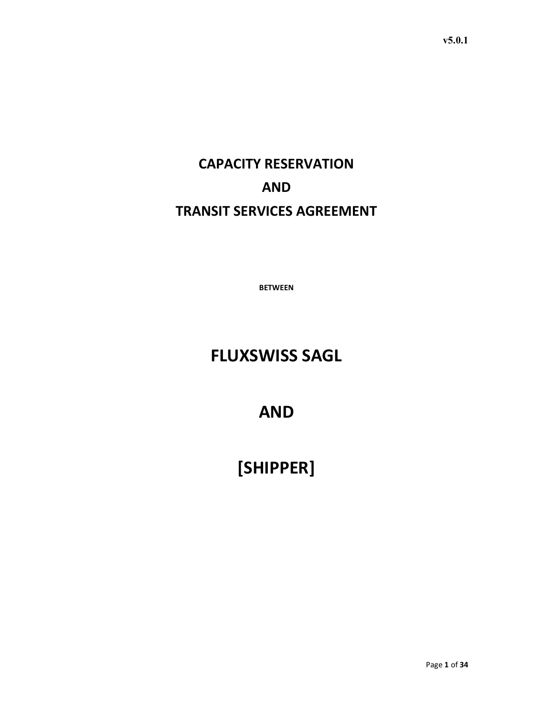CAPACITY RESERVATION AND TRANSIT SERVICES AGREEMENT

BETWEEN

## FLUXSWISS SAGL

AND

# [SHIPPER]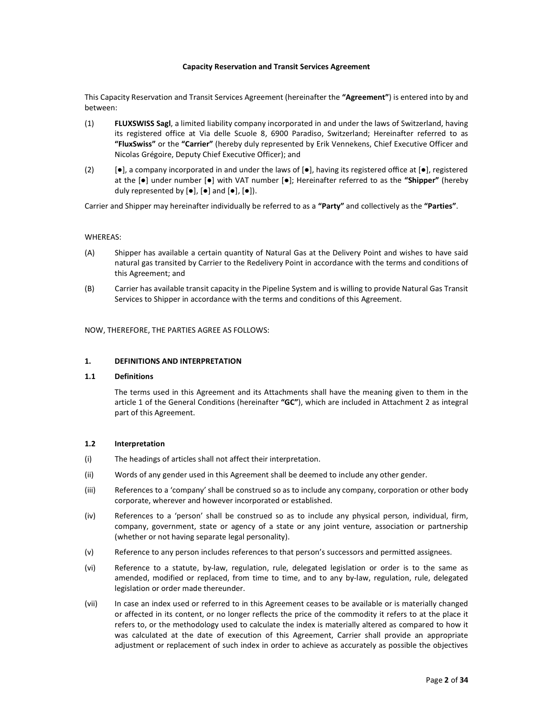#### Capacity Reservation and Transit Services Agreement

This Capacity Reservation and Transit Services Agreement (hereinafter the "Agreement") is entered into by and between:

- (1) FLUXSWISS Sagl, a limited liability company incorporated in and under the laws of Switzerland, having its registered office at Via delle Scuole 8, 6900 Paradiso, Switzerland; Hereinafter referred to as "FluxSwiss" or the "Carrier" (hereby duly represented by Erik Vennekens, Chief Executive Officer and Nicolas Grégoire, Deputy Chief Executive Officer); and
- (2) [●], a company incorporated in and under the laws of [●], having its registered office at [●], registered at the [●] under number [●] with VAT number [●]; Hereinafter referred to as the "Shipper" (hereby duly represented by  $[\bullet]$ ,  $[\bullet]$  and  $[\bullet]$ ,  $[\bullet]$ ).

Carrier and Shipper may hereinafter individually be referred to as a "Party" and collectively as the "Parties".

#### WHEREAS:

- (A) Shipper has available a certain quantity of Natural Gas at the Delivery Point and wishes to have said natural gas transited by Carrier to the Redelivery Point in accordance with the terms and conditions of this Agreement; and
- (B) Carrier has available transit capacity in the Pipeline System and is willing to provide Natural Gas Transit Services to Shipper in accordance with the terms and conditions of this Agreement.

NOW, THEREFORE, THE PARTIES AGREE AS FOLLOWS:

#### 1. DEFINITIONS AND INTERPRETATION

#### 1.1 Definitions

The terms used in this Agreement and its Attachments shall have the meaning given to them in the article 1 of the General Conditions (hereinafter "GC"), which are included in Attachment 2 as integral part of this Agreement.

#### 1.2 Interpretation

- (i) The headings of articles shall not affect their interpretation.
- (ii) Words of any gender used in this Agreement shall be deemed to include any other gender.
- (iii) References to a 'company' shall be construed so as to include any company, corporation or other body corporate, wherever and however incorporated or established.
- (iv) References to a 'person' shall be construed so as to include any physical person, individual, firm, company, government, state or agency of a state or any joint venture, association or partnership (whether or not having separate legal personality).
- (v) Reference to any person includes references to that person's successors and permitted assignees.
- (vi) Reference to a statute, by-law, regulation, rule, delegated legislation or order is to the same as amended, modified or replaced, from time to time, and to any by-law, regulation, rule, delegated legislation or order made thereunder.
- (vii) In case an index used or referred to in this Agreement ceases to be available or is materially changed or affected in its content, or no longer reflects the price of the commodity it refers to at the place it refers to, or the methodology used to calculate the index is materially altered as compared to how it was calculated at the date of execution of this Agreement, Carrier shall provide an appropriate adjustment or replacement of such index in order to achieve as accurately as possible the objectives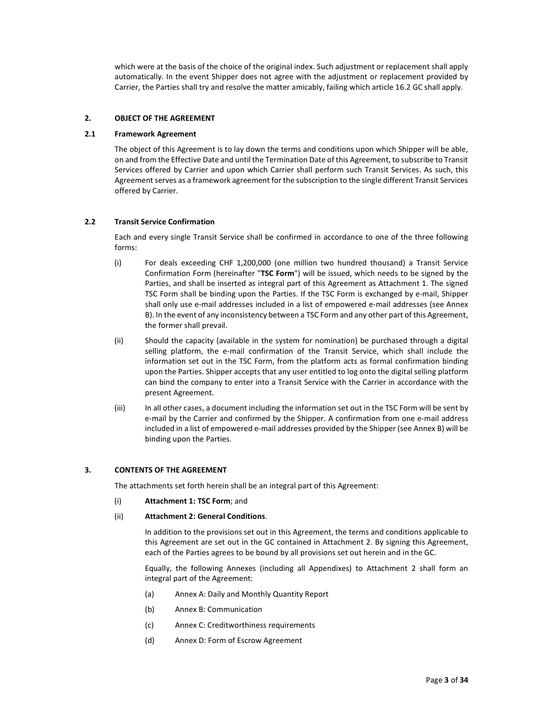which were at the basis of the choice of the original index. Such adjustment or replacement shall apply automatically. In the event Shipper does not agree with the adjustment or replacement provided by Carrier, the Parties shall try and resolve the matter amicably, failing which article 16.2 GC shall apply.

## 2. OBJECT OF THE AGREEMENT

#### 2.1 Framework Agreement

The object of this Agreement is to lay down the terms and conditions upon which Shipper will be able, on and from the Effective Date and until the Termination Date of this Agreement, to subscribe to Transit Services offered by Carrier and upon which Carrier shall perform such Transit Services. As such, this Agreement serves as a framework agreement for the subscription to the single different Transit Services offered by Carrier.

## 2.2 Transit Service Confirmation

Each and every single Transit Service shall be confirmed in accordance to one of the three following forms:

- (i) For deals exceeding CHF 1,200,000 (one million two hundred thousand) a Transit Service Confirmation Form (hereinafter "TSC Form") will be issued, which needs to be signed by the Parties, and shall be inserted as integral part of this Agreement as Attachment 1. The signed TSC Form shall be binding upon the Parties. If the TSC Form is exchanged by e-mail, Shipper shall only use e-mail addresses included in a list of empowered e-mail addresses (see Annex B). In the event of any inconsistency between a TSC Form and any other part of this Agreement, the former shall prevail.
- (ii) Should the capacity (available in the system for nomination) be purchased through a digital selling platform, the e-mail confirmation of the Transit Service, which shall include the information set out in the TSC Form, from the platform acts as formal confirmation binding upon the Parties. Shipper accepts that any user entitled to log onto the digital selling platform can bind the company to enter into a Transit Service with the Carrier in accordance with the present Agreement.
- (iii) In all other cases, a document including the information set out in the TSC Form will be sent by e-mail by the Carrier and confirmed by the Shipper. A confirmation from one e-mail address included in a list of empowered e-mail addresses provided by the Shipper (see Annex B) will be binding upon the Parties.

## 3. CONTENTS OF THE AGREEMENT

The attachments set forth herein shall be an integral part of this Agreement:

(i) Attachment 1: TSC Form; and

#### (ii) Attachment 2: General Conditions.

In addition to the provisions set out in this Agreement, the terms and conditions applicable to this Agreement are set out in the GC contained in Attachment 2. By signing this Agreement, each of the Parties agrees to be bound by all provisions set out herein and in the GC.

Equally, the following Annexes (including all Appendixes) to Attachment 2 shall form an integral part of the Agreement:

- (a) Annex A: Daily and Monthly Quantity Report
- (b) Annex B: Communication
- (c) Annex C: Creditworthiness requirements
- (d) Annex D: Form of Escrow Agreement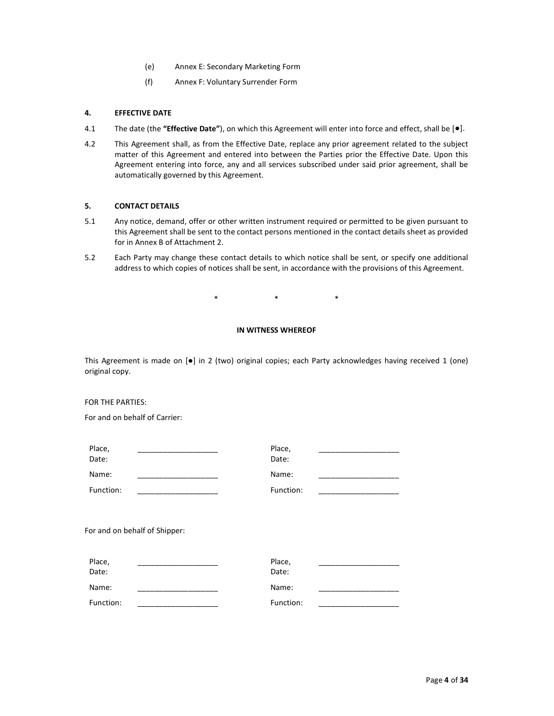- (e) Annex E: Secondary Marketing Form
- (f) Annex F: Voluntary Surrender Form

#### 4. EFFECTIVE DATE

- 4.1 The date (the "Effective Date"), on which this Agreement will enter into force and effect, shall be  $[\bullet]$ .
- 4.2 This Agreement shall, as from the Effective Date, replace any prior agreement related to the subject matter of this Agreement and entered into between the Parties prior the Effective Date. Upon this Agreement entering into force, any and all services subscribed under said prior agreement, shall be automatically governed by this Agreement.

## 5. CONTACT DETAILS

- 5.1 Any notice, demand, offer or other written instrument required or permitted to be given pursuant to this Agreement shall be sent to the contact persons mentioned in the contact details sheet as provided for in Annex B of Attachment 2.
- 5.2 Each Party may change these contact details to which notice shall be sent, or specify one additional address to which copies of notices shall be sent, in accordance with the provisions of this Agreement.

 $*$  \*  $*$  \*  $*$ 

## IN WITNESS WHEREOF

This Agreement is made on [●] in 2 (two) original copies; each Party acknowledges having received 1 (one) original copy.

#### FOR THE PARTIES:

For and on behalf of Carrier:

| Place,<br>Date:               | Place,<br>Date: |
|-------------------------------|-----------------|
| Name:                         | Name:           |
| Function:                     | Function:       |
|                               |                 |
| For and on behalf of Shipper: |                 |

| Place,<br>Date: | Place,<br>Date: |  |
|-----------------|-----------------|--|
| Name:           | Name:           |  |
| Function:       | Function:       |  |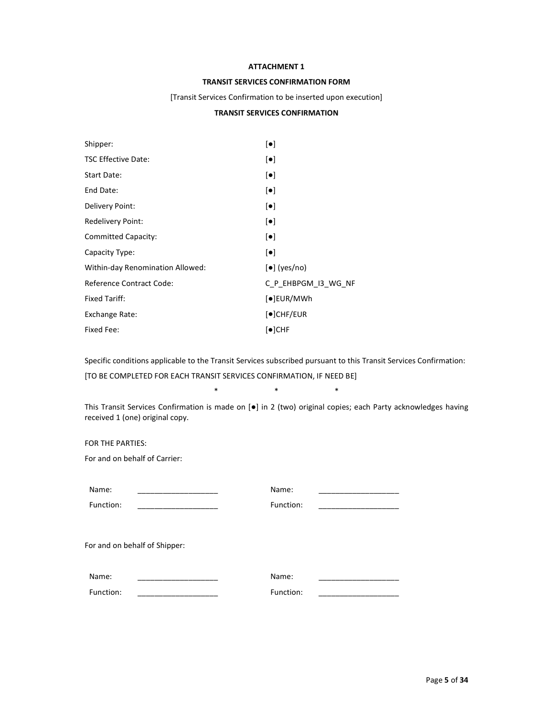## ATTACHMENT 1

## TRANSIT SERVICES CONFIRMATION FORM

#### [Transit Services Confirmation to be inserted upon execution]

## TRANSIT SERVICES CONFIRMATION

| Shipper:                         | $\lceil \bullet \rceil$          |
|----------------------------------|----------------------------------|
| <b>TSC Effective Date:</b>       | $\lceil \bullet \rceil$          |
| Start Date:                      | $\lceil \bullet \rceil$          |
| End Date:                        | $\lceil \bullet \rceil$          |
| Delivery Point:                  | $\lceil \bullet \rceil$          |
| Redelivery Point:                | $\lceil \bullet \rceil$          |
| <b>Committed Capacity:</b>       | $\lceil \bullet \rceil$          |
| Capacity Type:                   | $\lceil \bullet \rceil$          |
| Within-day Renomination Allowed: | $[\bullet]$ (yes/no)             |
| Reference Contract Code:         | C P EHBPGM I3 WG NF              |
| <b>Fixed Tariff:</b>             | $\left[ \bullet \right]$ EUR/MWh |
| Exchange Rate:                   | $\lceil \bullet \rceil$ CHF/EUR  |
| Fixed Fee:                       | $\lceil \bullet \rceil$ CHF      |

Specific conditions applicable to the Transit Services subscribed pursuant to this Transit Services Confirmation:

[TO BE COMPLETED FOR EACH TRANSIT SERVICES CONFIRMATION, IF NEED BE]

This Transit Services Confirmation is made on [●] in 2 (two) original copies; each Party acknowledges having received 1 (one) original copy.

 $*$  \*  $*$  \*  $*$ 

FOR THE PARTIES:

For and on behalf of Carrier:

| Name:                         | Name:     |  |
|-------------------------------|-----------|--|
| Function:                     | Function: |  |
| For and on behalf of Shipper: |           |  |
| Name:                         | Name:     |  |
| Function:                     | Function: |  |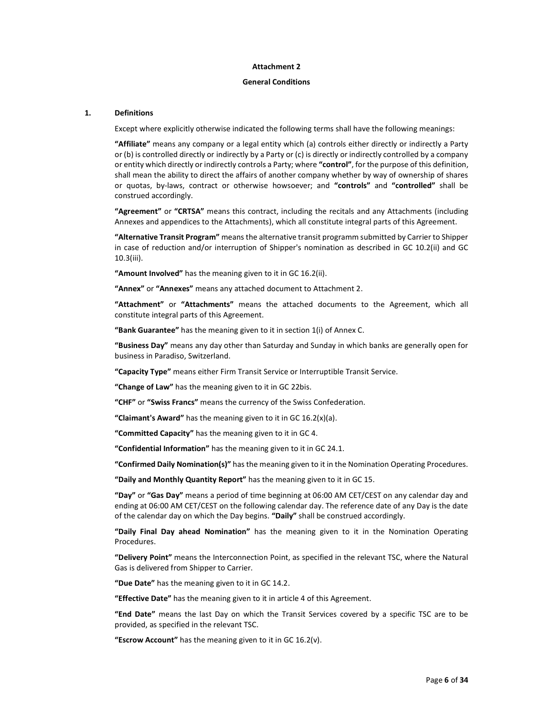#### Attachment 2

#### General Conditions

#### 1. Definitions

Except where explicitly otherwise indicated the following terms shall have the following meanings:

"Affiliate" means any company or a legal entity which (a) controls either directly or indirectly a Party or (b) is controlled directly or indirectly by a Party or (c) is directly or indirectly controlled by a company or entity which directly or indirectly controls a Party; where "control", for the purpose of this definition, shall mean the ability to direct the affairs of another company whether by way of ownership of shares or quotas, by-laws, contract or otherwise howsoever; and "controls" and "controlled" shall be construed accordingly.

"Agreement" or "CRTSA" means this contract, including the recitals and any Attachments (including Annexes and appendices to the Attachments), which all constitute integral parts of this Agreement.

"Alternative Transit Program" means the alternative transit programm submitted by Carrier to Shipper in case of reduction and/or interruption of Shipper's nomination as described in GC 10.2(ii) and GC 10.3(iii).

"Amount Involved" has the meaning given to it in GC 16.2(ii).

"Annex" or "Annexes" means any attached document to Attachment 2.

"Attachment" or "Attachments" means the attached documents to the Agreement, which all constitute integral parts of this Agreement.

"Bank Guarantee" has the meaning given to it in section 1(i) of Annex C.

"Business Day" means any day other than Saturday and Sunday in which banks are generally open for business in Paradiso, Switzerland.

"Capacity Type" means either Firm Transit Service or Interruptible Transit Service.

"Change of Law" has the meaning given to it in GC 22bis.

"CHF" or "Swiss Francs" means the currency of the Swiss Confederation.

"Claimant's Award" has the meaning given to it in  $GC 16.2(x)(a)$ .

"Committed Capacity" has the meaning given to it in GC 4.

"Confidential Information" has the meaning given to it in GC 24.1.

"Confirmed Daily Nomination(s)" has the meaning given to it in the Nomination Operating Procedures.

"Daily and Monthly Quantity Report" has the meaning given to it in GC 15.

"Day" or "Gas Day" means a period of time beginning at 06:00 AM CET/CEST on any calendar day and ending at 06:00 AM CET/CEST on the following calendar day. The reference date of any Day is the date of the calendar day on which the Day begins. "Daily" shall be construed accordingly.

"Daily Final Day ahead Nomination" has the meaning given to it in the Nomination Operating Procedures.

"Delivery Point" means the Interconnection Point, as specified in the relevant TSC, where the Natural Gas is delivered from Shipper to Carrier.

"Due Date" has the meaning given to it in GC 14.2.

"Effective Date" has the meaning given to it in article 4 of this Agreement.

"End Date" means the last Day on which the Transit Services covered by a specific TSC are to be provided, as specified in the relevant TSC.

"Escrow Account" has the meaning given to it in GC  $16.2(v)$ .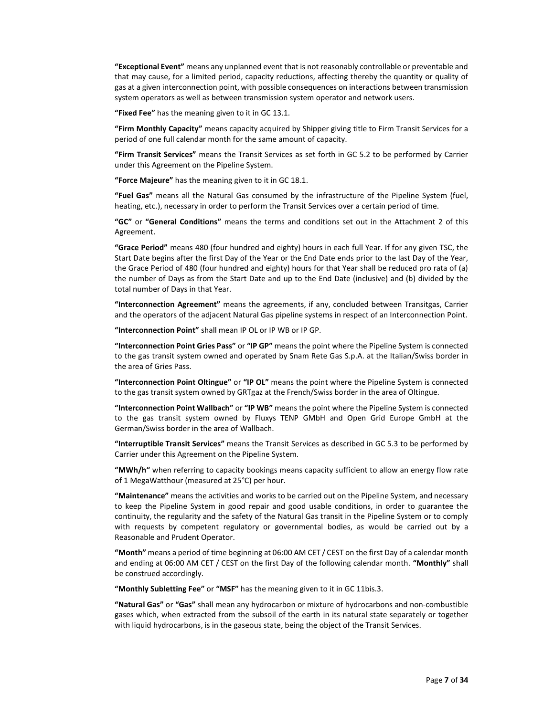"Exceptional Event" means any unplanned event that is not reasonably controllable or preventable and that may cause, for a limited period, capacity reductions, affecting thereby the quantity or quality of gas at a given interconnection point, with possible consequences on interactions between transmission system operators as well as between transmission system operator and network users.

"Fixed Fee" has the meaning given to it in GC 13.1.

"Firm Monthly Capacity" means capacity acquired by Shipper giving title to Firm Transit Services for a period of one full calendar month for the same amount of capacity.

"Firm Transit Services" means the Transit Services as set forth in GC 5.2 to be performed by Carrier under this Agreement on the Pipeline System.

"Force Majeure" has the meaning given to it in GC 18.1.

"Fuel Gas" means all the Natural Gas consumed by the infrastructure of the Pipeline System (fuel, heating, etc.), necessary in order to perform the Transit Services over a certain period of time.

"GC" or "General Conditions" means the terms and conditions set out in the Attachment 2 of this Agreement.

"Grace Period" means 480 (four hundred and eighty) hours in each full Year. If for any given TSC, the Start Date begins after the first Day of the Year or the End Date ends prior to the last Day of the Year, the Grace Period of 480 (four hundred and eighty) hours for that Year shall be reduced pro rata of (a) the number of Days as from the Start Date and up to the End Date (inclusive) and (b) divided by the total number of Days in that Year.

"Interconnection Agreement" means the agreements, if any, concluded between Transitgas, Carrier and the operators of the adjacent Natural Gas pipeline systems in respect of an Interconnection Point.

"Interconnection Point" shall mean IP OL or IP WB or IP GP.

"Interconnection Point Gries Pass" or "IP GP" means the point where the Pipeline System is connected to the gas transit system owned and operated by Snam Rete Gas S.p.A. at the Italian/Swiss border in the area of Gries Pass.

"Interconnection Point Oltingue" or "IP OL" means the point where the Pipeline System is connected to the gas transit system owned by GRTgaz at the French/Swiss border in the area of Oltingue.

"Interconnection Point Wallbach" or "IP WB" means the point where the Pipeline System is connected to the gas transit system owned by Fluxys TENP GMbH and Open Grid Europe GmbH at the German/Swiss border in the area of Wallbach.

"Interruptible Transit Services" means the Transit Services as described in GC 5.3 to be performed by Carrier under this Agreement on the Pipeline System.

"MWh/h" when referring to capacity bookings means capacity sufficient to allow an energy flow rate of 1 MegaWatthour (measured at 25°C) per hour.

"Maintenance" means the activities and works to be carried out on the Pipeline System, and necessary to keep the Pipeline System in good repair and good usable conditions, in order to guarantee the continuity, the regularity and the safety of the Natural Gas transit in the Pipeline System or to comply with requests by competent regulatory or governmental bodies, as would be carried out by a Reasonable and Prudent Operator.

"Month" means a period of time beginning at 06:00 AM CET / CEST on the first Day of a calendar month and ending at 06:00 AM CET / CEST on the first Day of the following calendar month. "Monthly" shall be construed accordingly.

"Monthly Subletting Fee" or "MSF" has the meaning given to it in GC 11bis.3.

"Natural Gas" or "Gas" shall mean any hydrocarbon or mixture of hydrocarbons and non-combustible gases which, when extracted from the subsoil of the earth in its natural state separately or together with liquid hydrocarbons, is in the gaseous state, being the object of the Transit Services.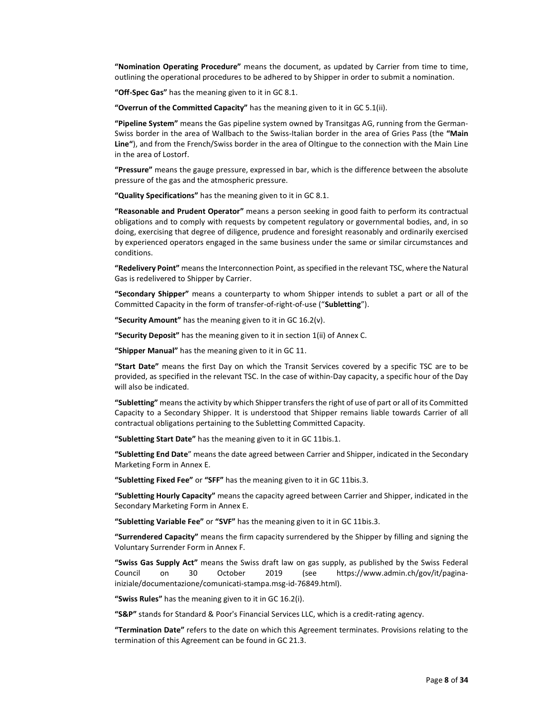"Nomination Operating Procedure" means the document, as updated by Carrier from time to time, outlining the operational procedures to be adhered to by Shipper in order to submit a nomination.

"Off-Spec Gas" has the meaning given to it in GC 8.1.

"Overrun of the Committed Capacity" has the meaning given to it in GC 5.1(ii).

"Pipeline System" means the Gas pipeline system owned by Transitgas AG, running from the German-Swiss border in the area of Wallbach to the Swiss-Italian border in the area of Gries Pass (the "Main Line"), and from the French/Swiss border in the area of Oltingue to the connection with the Main Line in the area of Lostorf.

"Pressure" means the gauge pressure, expressed in bar, which is the difference between the absolute pressure of the gas and the atmospheric pressure.

"Quality Specifications" has the meaning given to it in GC 8.1.

"Reasonable and Prudent Operator" means a person seeking in good faith to perform its contractual obligations and to comply with requests by competent regulatory or governmental bodies, and, in so doing, exercising that degree of diligence, prudence and foresight reasonably and ordinarily exercised by experienced operators engaged in the same business under the same or similar circumstances and conditions.

"Redelivery Point" means the Interconnection Point, as specified in the relevant TSC, where the Natural Gas is redelivered to Shipper by Carrier.

"Secondary Shipper" means a counterparty to whom Shipper intends to sublet a part or all of the Committed Capacity in the form of transfer-of-right-of-use ("Subletting").

"Security Amount" has the meaning given to it in  $GC 16.2(v)$ .

"Security Deposit" has the meaning given to it in section 1(ii) of Annex C.

"Shipper Manual" has the meaning given to it in GC 11.

"Start Date" means the first Day on which the Transit Services covered by a specific TSC are to be provided, as specified in the relevant TSC. In the case of within-Day capacity, a specific hour of the Day will also be indicated.

"Subletting" means the activity by which Shipper transfers the right of use of part or all of its Committed Capacity to a Secondary Shipper. It is understood that Shipper remains liable towards Carrier of all contractual obligations pertaining to the Subletting Committed Capacity.

"Subletting Start Date" has the meaning given to it in GC 11bis.1.

"Subletting End Date" means the date agreed between Carrier and Shipper, indicated in the Secondary Marketing Form in Annex E.

"Subletting Fixed Fee" or "SFF" has the meaning given to it in GC 11bis.3.

"Subletting Hourly Capacity" means the capacity agreed between Carrier and Shipper, indicated in the Secondary Marketing Form in Annex E.

"Subletting Variable Fee" or "SVF" has the meaning given to it in GC 11bis.3.

"Surrendered Capacity" means the firm capacity surrendered by the Shipper by filling and signing the Voluntary Surrender Form in Annex F.

"Swiss Gas Supply Act" means the Swiss draft law on gas supply, as published by the Swiss Federal Council on 30 October 2019 (see https://www.admin.ch/gov/it/paginainiziale/documentazione/comunicati-stampa.msg-id-76849.html).

"Swiss Rules" has the meaning given to it in GC 16.2(i).

"S&P" stands for Standard & Poor's Financial Services LLC, which is a credit-rating agency.

"Termination Date" refers to the date on which this Agreement terminates. Provisions relating to the termination of this Agreement can be found in GC 21.3.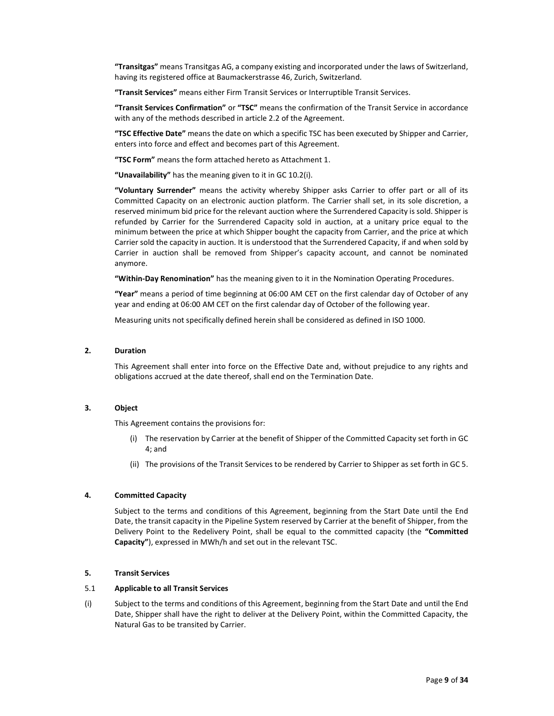"Transitgas" means Transitgas AG, a company existing and incorporated under the laws of Switzerland, having its registered office at Baumackerstrasse 46, Zurich, Switzerland.

"Transit Services" means either Firm Transit Services or Interruptible Transit Services.

"Transit Services Confirmation" or "TSC" means the confirmation of the Transit Service in accordance with any of the methods described in article 2.2 of the Agreement.

"TSC Effective Date" means the date on which a specific TSC has been executed by Shipper and Carrier, enters into force and effect and becomes part of this Agreement.

"TSC Form" means the form attached hereto as Attachment 1.

"Unavailability" has the meaning given to it in GC 10.2(i).

"Voluntary Surrender" means the activity whereby Shipper asks Carrier to offer part or all of its Committed Capacity on an electronic auction platform. The Carrier shall set, in its sole discretion, a reserved minimum bid price for the relevant auction where the Surrendered Capacity is sold. Shipper is refunded by Carrier for the Surrendered Capacity sold in auction, at a unitary price equal to the minimum between the price at which Shipper bought the capacity from Carrier, and the price at which Carrier sold the capacity in auction. It is understood that the Surrendered Capacity, if and when sold by Carrier in auction shall be removed from Shipper's capacity account, and cannot be nominated anymore.

"Within-Day Renomination" has the meaning given to it in the Nomination Operating Procedures.

"Year" means a period of time beginning at 06:00 AM CET on the first calendar day of October of any year and ending at 06:00 AM CET on the first calendar day of October of the following year.

Measuring units not specifically defined herein shall be considered as defined in ISO 1000.

#### 2. Duration

This Agreement shall enter into force on the Effective Date and, without prejudice to any rights and obligations accrued at the date thereof, shall end on the Termination Date.

#### 3. Object

This Agreement contains the provisions for:

- (i) The reservation by Carrier at the benefit of Shipper of the Committed Capacity set forth in GC 4; and
- (ii) The provisions of the Transit Services to be rendered by Carrier to Shipper as set forth in GC 5.

#### 4. Committed Capacity

Subject to the terms and conditions of this Agreement, beginning from the Start Date until the End Date, the transit capacity in the Pipeline System reserved by Carrier at the benefit of Shipper, from the Delivery Point to the Redelivery Point, shall be equal to the committed capacity (the "Committed Capacity"), expressed in MWh/h and set out in the relevant TSC.

#### 5. Transit Services

#### 5.1 Applicable to all Transit Services

(i) Subject to the terms and conditions of this Agreement, beginning from the Start Date and until the End Date, Shipper shall have the right to deliver at the Delivery Point, within the Committed Capacity, the Natural Gas to be transited by Carrier.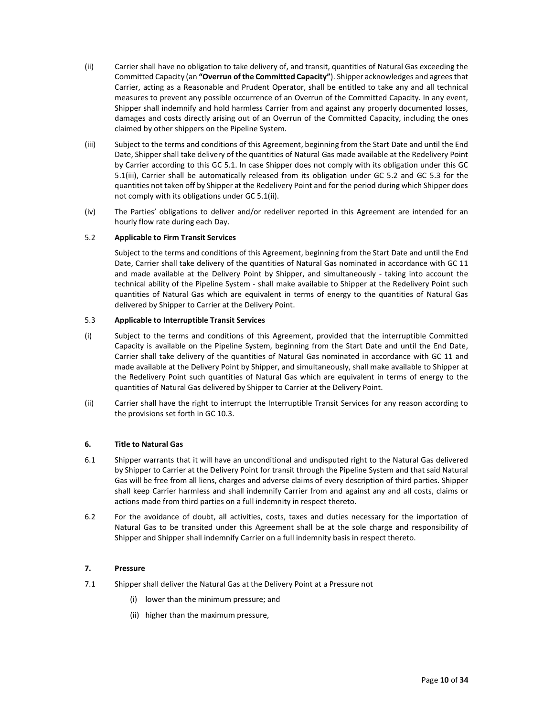- (ii) Carrier shall have no obligation to take delivery of, and transit, quantities of Natural Gas exceeding the Committed Capacity (an "Overrun of the Committed Capacity"). Shipper acknowledges and agrees that Carrier, acting as a Reasonable and Prudent Operator, shall be entitled to take any and all technical measures to prevent any possible occurrence of an Overrun of the Committed Capacity. In any event, Shipper shall indemnify and hold harmless Carrier from and against any properly documented losses, damages and costs directly arising out of an Overrun of the Committed Capacity, including the ones claimed by other shippers on the Pipeline System.
- (iii) Subject to the terms and conditions of this Agreement, beginning from the Start Date and until the End Date, Shipper shall take delivery of the quantities of Natural Gas made available at the Redelivery Point by Carrier according to this GC 5.1. In case Shipper does not comply with its obligation under this GC 5.1(iii), Carrier shall be automatically released from its obligation under GC 5.2 and GC 5.3 for the quantities not taken off by Shipper at the Redelivery Point and for the period during which Shipper does not comply with its obligations under GC 5.1(ii).
- (iv) The Parties' obligations to deliver and/or redeliver reported in this Agreement are intended for an hourly flow rate during each Day.

#### 5.2 Applicable to Firm Transit Services

 Subject to the terms and conditions of this Agreement, beginning from the Start Date and until the End Date, Carrier shall take delivery of the quantities of Natural Gas nominated in accordance with GC 11 and made available at the Delivery Point by Shipper, and simultaneously - taking into account the technical ability of the Pipeline System - shall make available to Shipper at the Redelivery Point such quantities of Natural Gas which are equivalent in terms of energy to the quantities of Natural Gas delivered by Shipper to Carrier at the Delivery Point.

#### 5.3 Applicable to Interruptible Transit Services

- (i) Subject to the terms and conditions of this Agreement, provided that the interruptible Committed Capacity is available on the Pipeline System, beginning from the Start Date and until the End Date, Carrier shall take delivery of the quantities of Natural Gas nominated in accordance with GC 11 and made available at the Delivery Point by Shipper, and simultaneously, shall make available to Shipper at the Redelivery Point such quantities of Natural Gas which are equivalent in terms of energy to the quantities of Natural Gas delivered by Shipper to Carrier at the Delivery Point.
- (ii) Carrier shall have the right to interrupt the Interruptible Transit Services for any reason according to the provisions set forth in GC 10.3.

## 6. Title to Natural Gas

- 6.1 Shipper warrants that it will have an unconditional and undisputed right to the Natural Gas delivered by Shipper to Carrier at the Delivery Point for transit through the Pipeline System and that said Natural Gas will be free from all liens, charges and adverse claims of every description of third parties. Shipper shall keep Carrier harmless and shall indemnify Carrier from and against any and all costs, claims or actions made from third parties on a full indemnity in respect thereto.
- 6.2 For the avoidance of doubt, all activities, costs, taxes and duties necessary for the importation of Natural Gas to be transited under this Agreement shall be at the sole charge and responsibility of Shipper and Shipper shall indemnify Carrier on a full indemnity basis in respect thereto.

#### 7. Pressure

- 7.1 Shipper shall deliver the Natural Gas at the Delivery Point at a Pressure not
	- (i) lower than the minimum pressure; and
	- (ii) higher than the maximum pressure,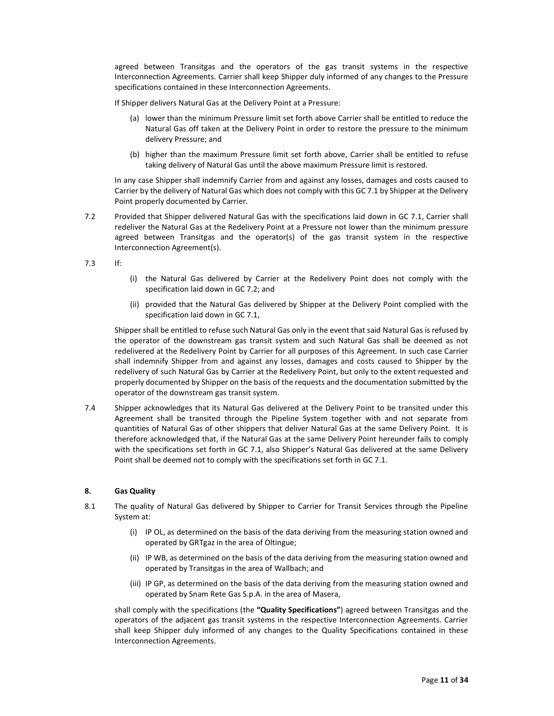agreed between Transitgas and the operators of the gas transit systems in the respective Interconnection Agreements. Carrier shall keep Shipper duly informed of any changes to the Pressure specifications contained in these Interconnection Agreements.

If Shipper delivers Natural Gas at the Delivery Point at a Pressure:

- (a) lower than the minimum Pressure limit set forth above Carrier shall be entitled to reduce the Natural Gas off taken at the Delivery Point in order to restore the pressure to the minimum delivery Pressure; and
- (b) higher than the maximum Pressure limit set forth above, Carrier shall be entitled to refuse taking delivery of Natural Gas until the above maximum Pressure limit is restored.

In any case Shipper shall indemnify Carrier from and against any losses, damages and costs caused to Carrier by the delivery of Natural Gas which does not comply with this GC 7.1 by Shipper at the Delivery Point properly documented by Carrier.

7.2 Provided that Shipper delivered Natural Gas with the specifications laid down in GC 7.1, Carrier shall redeliver the Natural Gas at the Redelivery Point at a Pressure not lower than the minimum pressure agreed between Transitgas and the operator(s) of the gas transit system in the respective Interconnection Agreement(s).

7.3 If:

- (i) the Natural Gas delivered by Carrier at the Redelivery Point does not comply with the specification laid down in GC 7.2; and
- (ii) provided that the Natural Gas delivered by Shipper at the Delivery Point complied with the specification laid down in GC 7.1,

Shipper shall be entitled to refuse such Natural Gas only in the event that said Natural Gas is refused by the operator of the downstream gas transit system and such Natural Gas shall be deemed as not redelivered at the Redelivery Point by Carrier for all purposes of this Agreement. In such case Carrier shall indemnify Shipper from and against any losses, damages and costs caused to Shipper by the redelivery of such Natural Gas by Carrier at the Redelivery Point, but only to the extent requested and properly documented by Shipper on the basis of the requests and the documentation submitted by the operator of the downstream gas transit system.

7.4 Shipper acknowledges that its Natural Gas delivered at the Delivery Point to be transited under this Agreement shall be transited through the Pipeline System together with and not separate from quantities of Natural Gas of other shippers that deliver Natural Gas at the same Delivery Point. It is therefore acknowledged that, if the Natural Gas at the same Delivery Point hereunder fails to comply with the specifications set forth in GC 7.1, also Shipper's Natural Gas delivered at the same Delivery Point shall be deemed not to comply with the specifications set forth in GC 7.1.

## 8. Gas Quality

- 8.1 The quality of Natural Gas delivered by Shipper to Carrier for Transit Services through the Pipeline System at:
	- (i) IP OL, as determined on the basis of the data deriving from the measuring station owned and operated by GRTgaz in the area of Oltingue;
	- (ii) IP WB, as determined on the basis of the data deriving from the measuring station owned and operated by Transitgas in the area of Wallbach; and
	- (iii) IP GP, as determined on the basis of the data deriving from the measuring station owned and operated by Snam Rete Gas S.p.A. in the area of Masera,

shall comply with the specifications (the "Quality Specifications") agreed between Transitgas and the operators of the adjacent gas transit systems in the respective Interconnection Agreements. Carrier shall keep Shipper duly informed of any changes to the Quality Specifications contained in these Interconnection Agreements.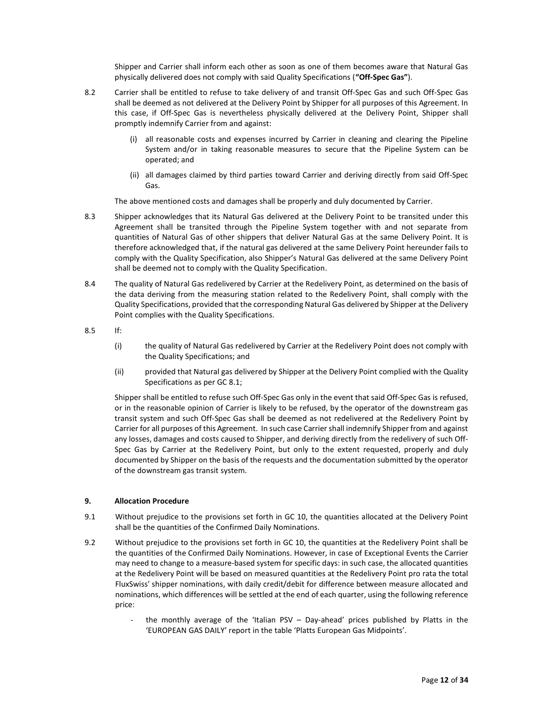Shipper and Carrier shall inform each other as soon as one of them becomes aware that Natural Gas physically delivered does not comply with said Quality Specifications ("Off-Spec Gas").

- 8.2 Carrier shall be entitled to refuse to take delivery of and transit Off-Spec Gas and such Off-Spec Gas shall be deemed as not delivered at the Delivery Point by Shipper for all purposes of this Agreement. In this case, if Off-Spec Gas is nevertheless physically delivered at the Delivery Point, Shipper shall promptly indemnify Carrier from and against:
	- (i) all reasonable costs and expenses incurred by Carrier in cleaning and clearing the Pipeline System and/or in taking reasonable measures to secure that the Pipeline System can be operated; and
	- (ii) all damages claimed by third parties toward Carrier and deriving directly from said Off-Spec Gas.

The above mentioned costs and damages shall be properly and duly documented by Carrier.

- 8.3 Shipper acknowledges that its Natural Gas delivered at the Delivery Point to be transited under this Agreement shall be transited through the Pipeline System together with and not separate from quantities of Natural Gas of other shippers that deliver Natural Gas at the same Delivery Point. It is therefore acknowledged that, if the natural gas delivered at the same Delivery Point hereunder fails to comply with the Quality Specification, also Shipper's Natural Gas delivered at the same Delivery Point shall be deemed not to comply with the Quality Specification.
- 8.4 The quality of Natural Gas redelivered by Carrier at the Redelivery Point, as determined on the basis of the data deriving from the measuring station related to the Redelivery Point, shall comply with the Quality Specifications, provided that the corresponding Natural Gas delivered by Shipper at the Delivery Point complies with the Quality Specifications.
- 8.5 If:
	- (i) the quality of Natural Gas redelivered by Carrier at the Redelivery Point does not comply with the Quality Specifications; and
	- (ii) provided that Natural gas delivered by Shipper at the Delivery Point complied with the Quality Specifications as per GC 8.1;

Shipper shall be entitled to refuse such Off-Spec Gas only in the event that said Off-Spec Gas is refused, or in the reasonable opinion of Carrier is likely to be refused, by the operator of the downstream gas transit system and such Off-Spec Gas shall be deemed as not redelivered at the Redelivery Point by Carrier for all purposes of this Agreement. In such case Carrier shall indemnify Shipper from and against any losses, damages and costs caused to Shipper, and deriving directly from the redelivery of such Off-Spec Gas by Carrier at the Redelivery Point, but only to the extent requested, properly and duly documented by Shipper on the basis of the requests and the documentation submitted by the operator of the downstream gas transit system.

## 9. Allocation Procedure

- 9.1 Without prejudice to the provisions set forth in GC 10, the quantities allocated at the Delivery Point shall be the quantities of the Confirmed Daily Nominations.
- 9.2 Without prejudice to the provisions set forth in GC 10, the quantities at the Redelivery Point shall be the quantities of the Confirmed Daily Nominations. However, in case of Exceptional Events the Carrier may need to change to a measure-based system for specific days: in such case, the allocated quantities at the Redelivery Point will be based on measured quantities at the Redelivery Point pro rata the total FluxSwiss' shipper nominations, with daily credit/debit for difference between measure allocated and nominations, which differences will be settled at the end of each quarter, using the following reference price:
	- the monthly average of the 'Italian PSV Day-ahead' prices published by Platts in the 'EUROPEAN GAS DAILY' report in the table 'Platts European Gas Midpoints'.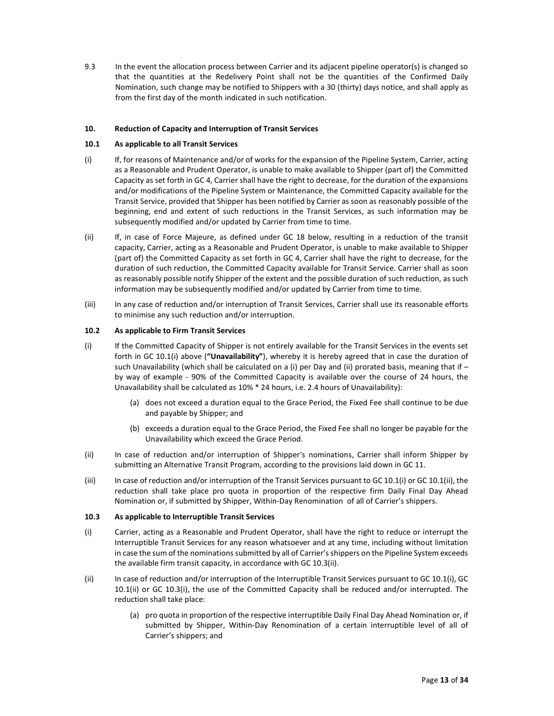9.3 In the event the allocation process between Carrier and its adjacent pipeline operator(s) is changed so that the quantities at the Redelivery Point shall not be the quantities of the Confirmed Daily Nomination, such change may be notified to Shippers with a 30 (thirty) days notice, and shall apply as from the first day of the month indicated in such notification.

## 10. Reduction of Capacity and Interruption of Transit Services

#### 10.1 As applicable to all Transit Services

- (i) If, for reasons of Maintenance and/or of works for the expansion of the Pipeline System, Carrier, acting as a Reasonable and Prudent Operator, is unable to make available to Shipper (part of) the Committed Capacity as set forth in GC 4, Carrier shall have the right to decrease, for the duration of the expansions and/or modifications of the Pipeline System or Maintenance, the Committed Capacity available for the Transit Service, provided that Shipper has been notified by Carrier as soon as reasonably possible of the beginning, end and extent of such reductions in the Transit Services, as such information may be subsequently modified and/or updated by Carrier from time to time.
- (ii) If, in case of Force Majeure, as defined under GC 18 below, resulting in a reduction of the transit capacity, Carrier, acting as a Reasonable and Prudent Operator, is unable to make available to Shipper (part of) the Committed Capacity as set forth in GC 4, Carrier shall have the right to decrease, for the duration of such reduction, the Committed Capacity available for Transit Service. Carrier shall as soon as reasonably possible notify Shipper of the extent and the possible duration of such reduction, as such information may be subsequently modified and/or updated by Carrier from time to time.
- (iii) In any case of reduction and/or interruption of Transit Services, Carrier shall use its reasonable efforts to minimise any such reduction and/or interruption.

#### 10.2 As applicable to Firm Transit Services

- (i) If the Committed Capacity of Shipper is not entirely available for the Transit Services in the events set forth in GC 10.1(i) above ("Unavailability"), whereby it is hereby agreed that in case the duration of such Unavailability (which shall be calculated on a (i) per Day and (ii) prorated basis, meaning that if by way of example - 90% of the Committed Capacity is available over the course of 24 hours, the Unavailability shall be calculated as 10% \* 24 hours, i.e. 2.4 hours of Unavailability):
	- (a) does not exceed a duration equal to the Grace Period, the Fixed Fee shall continue to be due and payable by Shipper; and
	- (b) exceeds a duration equal to the Grace Period, the Fixed Fee shall no longer be payable for the Unavailability which exceed the Grace Period.
- (ii) In case of reduction and/or interruption of Shipper's nominations, Carrier shall inform Shipper by submitting an Alternative Transit Program, according to the provisions laid down in GC 11.
- (iii) In case of reduction and/or interruption of the Transit Services pursuant to GC 10.1(i) or GC 10.1(ii), the reduction shall take place pro quota in proportion of the respective firm Daily Final Day Ahead Nomination or, if submitted by Shipper, Within-Day Renomination of all of Carrier's shippers.

## 10.3 As applicable to Interruptible Transit Services

- (i) Carrier, acting as a Reasonable and Prudent Operator, shall have the right to reduce or interrupt the Interruptible Transit Services for any reason whatsoever and at any time, including without limitation in case the sum of the nominations submitted by all of Carrier's shippers on the Pipeline System exceeds the available firm transit capacity, in accordance with GC 10.3(ii).
- (ii) In case of reduction and/or interruption of the Interruptible Transit Services pursuant to GC 10.1(i), GC 10.1(ii) or GC 10.3(i), the use of the Committed Capacity shall be reduced and/or interrupted. The reduction shall take place:
	- (a) pro quota in proportion of the respective interruptible Daily Final Day Ahead Nomination or, if submitted by Shipper, Within-Day Renomination of a certain interruptible level of all of Carrier's shippers; and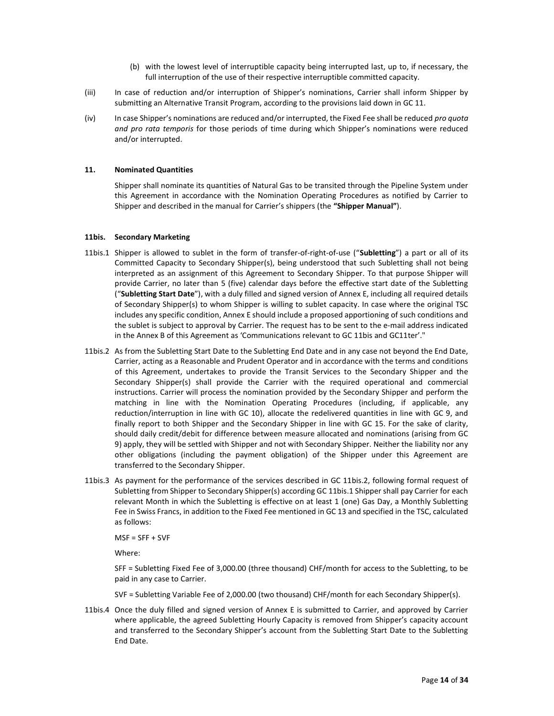- (b) with the lowest level of interruptible capacity being interrupted last, up to, if necessary, the full interruption of the use of their respective interruptible committed capacity.
- (iii) In case of reduction and/or interruption of Shipper's nominations, Carrier shall inform Shipper by submitting an Alternative Transit Program, according to the provisions laid down in GC 11.
- (iv) In case Shipper's nominations are reduced and/or interrupted, the Fixed Fee shall be reduced pro quota and pro rata temporis for those periods of time during which Shipper's nominations were reduced and/or interrupted.

#### 11. Nominated Quantities

Shipper shall nominate its quantities of Natural Gas to be transited through the Pipeline System under this Agreement in accordance with the Nomination Operating Procedures as notified by Carrier to Shipper and described in the manual for Carrier's shippers (the "Shipper Manual").

## 11bis. Secondary Marketing

- 11bis.1 Shipper is allowed to sublet in the form of transfer-of-right-of-use ("Subletting") a part or all of its Committed Capacity to Secondary Shipper(s), being understood that such Subletting shall not being interpreted as an assignment of this Agreement to Secondary Shipper. To that purpose Shipper will provide Carrier, no later than 5 (five) calendar days before the effective start date of the Subletting ("Subletting Start Date"), with a duly filled and signed version of Annex E, including all required details of Secondary Shipper(s) to whom Shipper is willing to sublet capacity. In case where the original TSC includes any specific condition, Annex E should include a proposed apportioning of such conditions and the sublet is subject to approval by Carrier. The request has to be sent to the e-mail address indicated in the Annex B of this Agreement as 'Communications relevant to GC 11bis and GC11ter'."
- 11bis.2 As from the Subletting Start Date to the Subletting End Date and in any case not beyond the End Date, Carrier, acting as a Reasonable and Prudent Operator and in accordance with the terms and conditions of this Agreement, undertakes to provide the Transit Services to the Secondary Shipper and the Secondary Shipper(s) shall provide the Carrier with the required operational and commercial instructions. Carrier will process the nomination provided by the Secondary Shipper and perform the matching in line with the Nomination Operating Procedures (including, if applicable, any reduction/interruption in line with GC 10), allocate the redelivered quantities in line with GC 9, and finally report to both Shipper and the Secondary Shipper in line with GC 15. For the sake of clarity, should daily credit/debit for difference between measure allocated and nominations (arising from GC 9) apply, they will be settled with Shipper and not with Secondary Shipper. Neither the liability nor any other obligations (including the payment obligation) of the Shipper under this Agreement are transferred to the Secondary Shipper.
- 11bis.3 As payment for the performance of the services described in GC 11bis.2, following formal request of Subletting from Shipper to Secondary Shipper(s) according GC 11bis.1 Shipper shall pay Carrier for each relevant Month in which the Subletting is effective on at least 1 (one) Gas Day, a Monthly Subletting Fee in Swiss Francs, in addition to the Fixed Fee mentioned in GC 13 and specified in the TSC, calculated as follows:

MSF = SFF + SVF

Where:

SFF = Subletting Fixed Fee of 3,000.00 (three thousand) CHF/month for access to the Subletting, to be paid in any case to Carrier.

SVF = Subletting Variable Fee of 2,000.00 (two thousand) CHF/month for each Secondary Shipper(s).

11bis.4 Once the duly filled and signed version of Annex E is submitted to Carrier, and approved by Carrier where applicable, the agreed Subletting Hourly Capacity is removed from Shipper's capacity account and transferred to the Secondary Shipper's account from the Subletting Start Date to the Subletting End Date.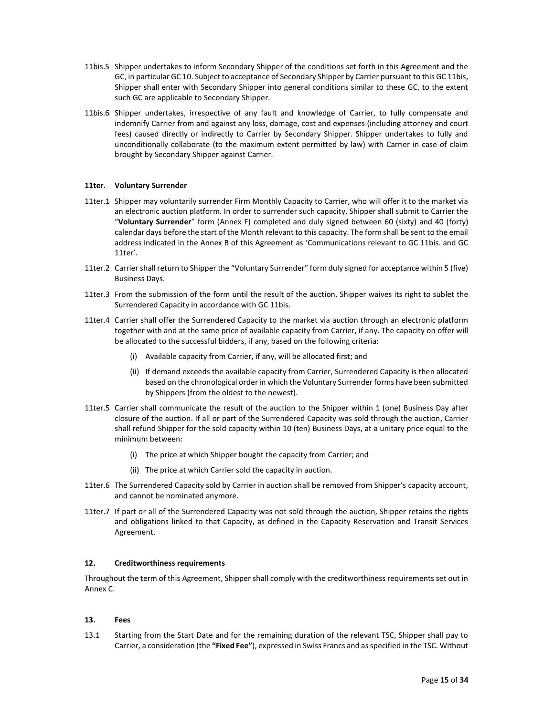- 11bis.5 Shipper undertakes to inform Secondary Shipper of the conditions set forth in this Agreement and the GC, in particular GC 10. Subject to acceptance of Secondary Shipper by Carrier pursuant to this GC 11bis, Shipper shall enter with Secondary Shipper into general conditions similar to these GC, to the extent such GC are applicable to Secondary Shipper.
- 11bis.6 Shipper undertakes, irrespective of any fault and knowledge of Carrier, to fully compensate and indemnify Carrier from and against any loss, damage, cost and expenses (including attorney and court fees) caused directly or indirectly to Carrier by Secondary Shipper. Shipper undertakes to fully and unconditionally collaborate (to the maximum extent permitted by law) with Carrier in case of claim brought by Secondary Shipper against Carrier.

#### 11ter. Voluntary Surrender

- 11ter.1 Shipper may voluntarily surrender Firm Monthly Capacity to Carrier, who will offer it to the market via an electronic auction platform. In order to surrender such capacity, Shipper shall submit to Carrier the "Voluntary Surrender" form (Annex F) completed and duly signed between 60 (sixty) and 40 (forty) calendar days before the start of the Month relevant to this capacity. The form shall be sent to the email address indicated in the Annex B of this Agreement as 'Communications relevant to GC 11bis. and GC 11ter'.
- 11ter.2 Carrier shall return to Shipper the "Voluntary Surrender" form duly signed for acceptance within 5 (five) Business Days.
- 11ter.3 From the submission of the form until the result of the auction, Shipper waives its right to sublet the Surrendered Capacity in accordance with GC 11bis.
- 11ter.4 Carrier shall offer the Surrendered Capacity to the market via auction through an electronic platform together with and at the same price of available capacity from Carrier, if any. The capacity on offer will be allocated to the successful bidders, if any, based on the following criteria:
	- (i) Available capacity from Carrier, if any, will be allocated first; and
	- (ii) If demand exceeds the available capacity from Carrier, Surrendered Capacity is then allocated based on the chronological order in which the Voluntary Surrender forms have been submitted by Shippers (from the oldest to the newest).
- 11ter.5 Carrier shall communicate the result of the auction to the Shipper within 1 (one) Business Day after closure of the auction. If all or part of the Surrendered Capacity was sold through the auction, Carrier shall refund Shipper for the sold capacity within 10 (ten) Business Days, at a unitary price equal to the minimum between:
	- (i) The price at which Shipper bought the capacity from Carrier; and
	- (ii) The price at which Carrier sold the capacity in auction.
- 11ter.6 The Surrendered Capacity sold by Carrier in auction shall be removed from Shipper's capacity account, and cannot be nominated anymore.
- 11ter.7 If part or all of the Surrendered Capacity was not sold through the auction, Shipper retains the rights and obligations linked to that Capacity, as defined in the Capacity Reservation and Transit Services Agreement.

#### 12. Creditworthiness requirements

Throughout the term of this Agreement, Shipper shall comply with the creditworthiness requirements set out in Annex C.

#### 13. Fees

13.1 Starting from the Start Date and for the remaining duration of the relevant TSC, Shipper shall pay to Carrier, a consideration (the "Fixed Fee"), expressed in Swiss Francs and as specified in the TSC. Without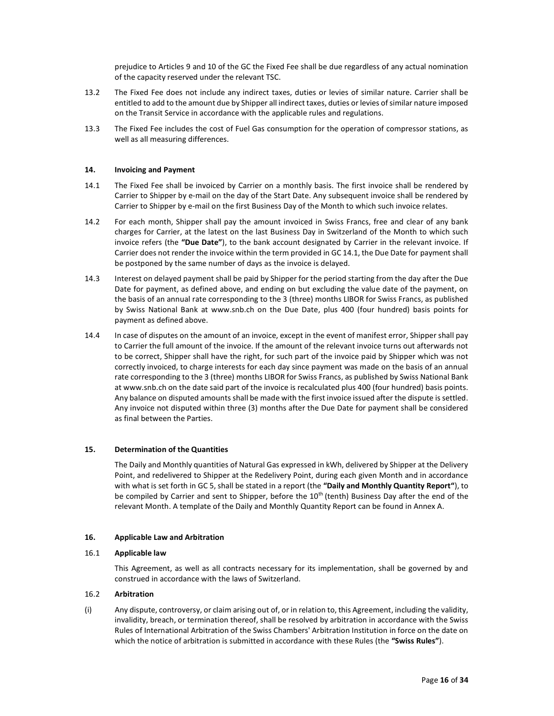prejudice to Articles 9 and 10 of the GC the Fixed Fee shall be due regardless of any actual nomination of the capacity reserved under the relevant TSC.

- 13.2 The Fixed Fee does not include any indirect taxes, duties or levies of similar nature. Carrier shall be entitled to add to the amount due by Shipper all indirect taxes, duties or levies of similar nature imposed on the Transit Service in accordance with the applicable rules and regulations.
- 13.3 The Fixed Fee includes the cost of Fuel Gas consumption for the operation of compressor stations, as well as all measuring differences.

#### 14. Invoicing and Payment

- 14.1 The Fixed Fee shall be invoiced by Carrier on a monthly basis. The first invoice shall be rendered by Carrier to Shipper by e-mail on the day of the Start Date. Any subsequent invoice shall be rendered by Carrier to Shipper by e-mail on the first Business Day of the Month to which such invoice relates.
- 14.2 For each month, Shipper shall pay the amount invoiced in Swiss Francs, free and clear of any bank charges for Carrier, at the latest on the last Business Day in Switzerland of the Month to which such invoice refers (the "Due Date"), to the bank account designated by Carrier in the relevant invoice. If Carrier does not render the invoice within the term provided in GC 14.1, the Due Date for payment shall be postponed by the same number of days as the invoice is delayed.
- 14.3 Interest on delayed payment shall be paid by Shipper for the period starting from the day after the Due Date for payment, as defined above, and ending on but excluding the value date of the payment, on the basis of an annual rate corresponding to the 3 (three) months LIBOR for Swiss Francs, as published by Swiss National Bank at www.snb.ch on the Due Date, plus 400 (four hundred) basis points for payment as defined above.
- 14.4 In case of disputes on the amount of an invoice, except in the event of manifest error, Shipper shall pay to Carrier the full amount of the invoice. If the amount of the relevant invoice turns out afterwards not to be correct, Shipper shall have the right, for such part of the invoice paid by Shipper which was not correctly invoiced, to charge interests for each day since payment was made on the basis of an annual rate corresponding to the 3 (three) months LIBOR for Swiss Francs, as published by Swiss National Bank at www.snb.ch on the date said part of the invoice is recalculated plus 400 (four hundred) basis points. Any balance on disputed amounts shall be made with the first invoice issued after the dispute is settled. Any invoice not disputed within three (3) months after the Due Date for payment shall be considered as final between the Parties.

#### 15. Determination of the Quantities

The Daily and Monthly quantities of Natural Gas expressed in kWh, delivered by Shipper at the Delivery Point, and redelivered to Shipper at the Redelivery Point, during each given Month and in accordance with what is set forth in GC 5, shall be stated in a report (the "Daily and Monthly Quantity Report"), to be compiled by Carrier and sent to Shipper, before the 10<sup>th</sup> (tenth) Business Day after the end of the relevant Month. A template of the Daily and Monthly Quantity Report can be found in Annex A.

#### 16. Applicable Law and Arbitration

#### 16.1 Applicable law

This Agreement, as well as all contracts necessary for its implementation, shall be governed by and construed in accordance with the laws of Switzerland.

## 16.2 Arbitration

(i) Any dispute, controversy, or claim arising out of, or in relation to, this Agreement, including the validity, invalidity, breach, or termination thereof, shall be resolved by arbitration in accordance with the Swiss Rules of International Arbitration of the Swiss Chambers' Arbitration Institution in force on the date on which the notice of arbitration is submitted in accordance with these Rules (the "Swiss Rules").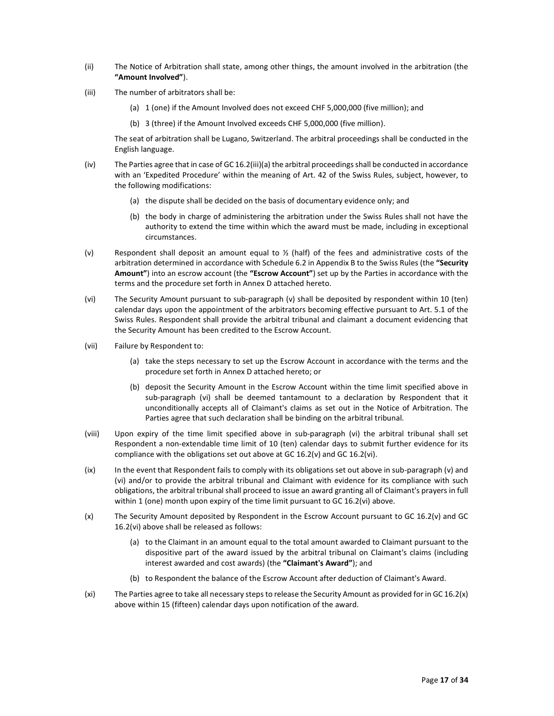- (ii) The Notice of Arbitration shall state, among other things, the amount involved in the arbitration (the "Amount Involved").
- (iii) The number of arbitrators shall be:
	- (a) 1 (one) if the Amount Involved does not exceed CHF 5,000,000 (five million); and
	- (b) 3 (three) if the Amount Involved exceeds CHF 5,000,000 (five million).

The seat of arbitration shall be Lugano, Switzerland. The arbitral proceedings shall be conducted in the English language.

- (iv) The Parties agree that in case of GC 16.2(iii)(a) the arbitral proceedings shall be conducted in accordance with an 'Expedited Procedure' within the meaning of Art. 42 of the Swiss Rules, subject, however, to the following modifications:
	- (a) the dispute shall be decided on the basis of documentary evidence only; and
	- (b) the body in charge of administering the arbitration under the Swiss Rules shall not have the authority to extend the time within which the award must be made, including in exceptional circumstances.
- (v) Respondent shall deposit an amount equal to  $\frac{1}{2}$  (half) of the fees and administrative costs of the arbitration determined in accordance with Schedule 6.2 in Appendix B to the Swiss Rules (the "Security Amount") into an escrow account (the "Escrow Account") set up by the Parties in accordance with the terms and the procedure set forth in Annex D attached hereto.
- (vi) The Security Amount pursuant to sub-paragraph (v) shall be deposited by respondent within 10 (ten) calendar days upon the appointment of the arbitrators becoming effective pursuant to Art. 5.1 of the Swiss Rules. Respondent shall provide the arbitral tribunal and claimant a document evidencing that the Security Amount has been credited to the Escrow Account.
- (vii) Failure by Respondent to:
	- (a) take the steps necessary to set up the Escrow Account in accordance with the terms and the procedure set forth in Annex D attached hereto; or
	- (b) deposit the Security Amount in the Escrow Account within the time limit specified above in sub-paragraph (vi) shall be deemed tantamount to a declaration by Respondent that it unconditionally accepts all of Claimant's claims as set out in the Notice of Arbitration. The Parties agree that such declaration shall be binding on the arbitral tribunal.
- (viii) Upon expiry of the time limit specified above in sub-paragraph (vi) the arbitral tribunal shall set Respondent a non-extendable time limit of 10 (ten) calendar days to submit further evidence for its compliance with the obligations set out above at GC 16.2(v) and GC 16.2(vi).
- (ix) In the event that Respondent fails to comply with its obligations set out above in sub-paragraph (v) and (vi) and/or to provide the arbitral tribunal and Claimant with evidence for its compliance with such obligations, the arbitral tribunal shall proceed to issue an award granting all of Claimant's prayers in full within 1 (one) month upon expiry of the time limit pursuant to GC 16.2(vi) above.
- (x) The Security Amount deposited by Respondent in the Escrow Account pursuant to GC 16.2(v) and GC 16.2(vi) above shall be released as follows:
	- (a) to the Claimant in an amount equal to the total amount awarded to Claimant pursuant to the dispositive part of the award issued by the arbitral tribunal on Claimant's claims (including interest awarded and cost awards) (the "Claimant's Award"); and
	- (b) to Respondent the balance of the Escrow Account after deduction of Claimant's Award.
- (xi) The Parties agree to take all necessary steps to release the Security Amount as provided for in GC 16.2(x) above within 15 (fifteen) calendar days upon notification of the award.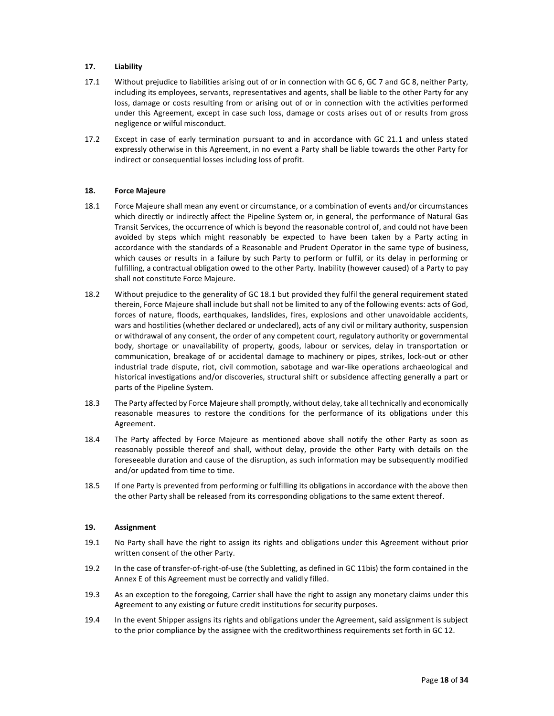## 17. Liability

- 17.1 Without prejudice to liabilities arising out of or in connection with GC 6, GC 7 and GC 8, neither Party, including its employees, servants, representatives and agents, shall be liable to the other Party for any loss, damage or costs resulting from or arising out of or in connection with the activities performed under this Agreement, except in case such loss, damage or costs arises out of or results from gross negligence or wilful misconduct.
- 17.2 Except in case of early termination pursuant to and in accordance with GC 21.1 and unless stated expressly otherwise in this Agreement, in no event a Party shall be liable towards the other Party for indirect or consequential losses including loss of profit.

#### 18. Force Majeure

- 18.1 Force Majeure shall mean any event or circumstance, or a combination of events and/or circumstances which directly or indirectly affect the Pipeline System or, in general, the performance of Natural Gas Transit Services, the occurrence of which is beyond the reasonable control of, and could not have been avoided by steps which might reasonably be expected to have been taken by a Party acting in accordance with the standards of a Reasonable and Prudent Operator in the same type of business, which causes or results in a failure by such Party to perform or fulfil, or its delay in performing or fulfilling, a contractual obligation owed to the other Party. Inability (however caused) of a Party to pay shall not constitute Force Majeure.
- 18.2 Without prejudice to the generality of GC 18.1 but provided they fulfil the general requirement stated therein, Force Majeure shall include but shall not be limited to any of the following events: acts of God, forces of nature, floods, earthquakes, landslides, fires, explosions and other unavoidable accidents, wars and hostilities (whether declared or undeclared), acts of any civil or military authority, suspension or withdrawal of any consent, the order of any competent court, regulatory authority or governmental body, shortage or unavailability of property, goods, labour or services, delay in transportation or communication, breakage of or accidental damage to machinery or pipes, strikes, lock-out or other industrial trade dispute, riot, civil commotion, sabotage and war-like operations archaeological and historical investigations and/or discoveries, structural shift or subsidence affecting generally a part or parts of the Pipeline System.
- 18.3 The Party affected by Force Majeure shall promptly, without delay, take all technically and economically reasonable measures to restore the conditions for the performance of its obligations under this Agreement.
- 18.4 The Party affected by Force Majeure as mentioned above shall notify the other Party as soon as reasonably possible thereof and shall, without delay, provide the other Party with details on the foreseeable duration and cause of the disruption, as such information may be subsequently modified and/or updated from time to time.
- 18.5 If one Party is prevented from performing or fulfilling its obligations in accordance with the above then the other Party shall be released from its corresponding obligations to the same extent thereof.

#### 19. Assignment

- 19.1 No Party shall have the right to assign its rights and obligations under this Agreement without prior written consent of the other Party.
- 19.2 In the case of transfer-of-right-of-use (the Subletting, as defined in GC 11bis) the form contained in the Annex E of this Agreement must be correctly and validly filled.
- 19.3 As an exception to the foregoing, Carrier shall have the right to assign any monetary claims under this Agreement to any existing or future credit institutions for security purposes.
- 19.4 In the event Shipper assigns its rights and obligations under the Agreement, said assignment is subject to the prior compliance by the assignee with the creditworthiness requirements set forth in GC 12.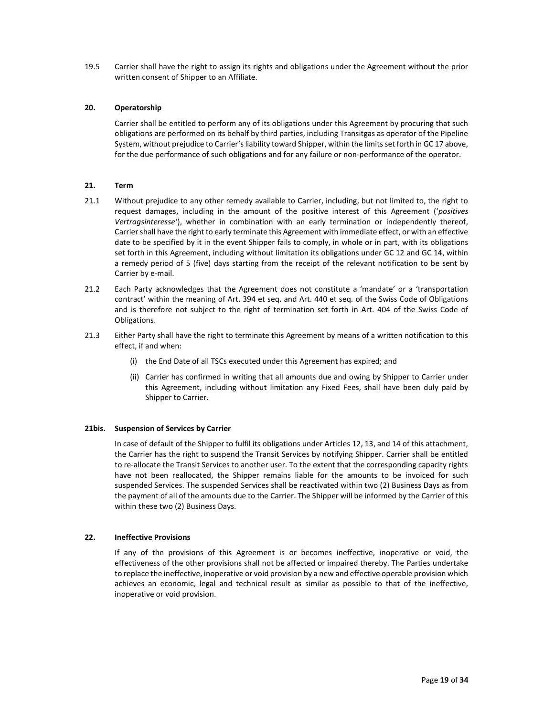19.5 Carrier shall have the right to assign its rights and obligations under the Agreement without the prior written consent of Shipper to an Affiliate.

## 20. Operatorship

Carrier shall be entitled to perform any of its obligations under this Agreement by procuring that such obligations are performed on its behalf by third parties, including Transitgas as operator of the Pipeline System, without prejudice to Carrier's liability toward Shipper, within the limits set forth in GC 17 above, for the due performance of such obligations and for any failure or non-performance of the operator.

#### 21. Term

- 21.1 Without prejudice to any other remedy available to Carrier, including, but not limited to, the right to request damages, including in the amount of the positive interest of this Agreement ('positives Vertragsinteresse'), whether in combination with an early termination or independently thereof, Carrier shall have the right to early terminate this Agreement with immediate effect, or with an effective date to be specified by it in the event Shipper fails to comply, in whole or in part, with its obligations set forth in this Agreement, including without limitation its obligations under GC 12 and GC 14, within a remedy period of 5 (five) days starting from the receipt of the relevant notification to be sent by Carrier by e-mail.
- 21.2 Each Party acknowledges that the Agreement does not constitute a 'mandate' or a 'transportation contract' within the meaning of Art. 394 et seq. and Art. 440 et seq. of the Swiss Code of Obligations and is therefore not subject to the right of termination set forth in Art. 404 of the Swiss Code of Obligations.
- 21.3 Either Party shall have the right to terminate this Agreement by means of a written notification to this effect, if and when:
	- (i) the End Date of all TSCs executed under this Agreement has expired; and
	- (ii) Carrier has confirmed in writing that all amounts due and owing by Shipper to Carrier under this Agreement, including without limitation any Fixed Fees, shall have been duly paid by Shipper to Carrier.

## 21bis. Suspension of Services by Carrier

In case of default of the Shipper to fulfil its obligations under Articles 12, 13, and 14 of this attachment, the Carrier has the right to suspend the Transit Services by notifying Shipper. Carrier shall be entitled to re-allocate the Transit Services to another user. To the extent that the corresponding capacity rights have not been reallocated, the Shipper remains liable for the amounts to be invoiced for such suspended Services. The suspended Services shall be reactivated within two (2) Business Days as from the payment of all of the amounts due to the Carrier. The Shipper will be informed by the Carrier of this within these two (2) Business Days.

## 22. Ineffective Provisions

If any of the provisions of this Agreement is or becomes ineffective, inoperative or void, the effectiveness of the other provisions shall not be affected or impaired thereby. The Parties undertake to replace the ineffective, inoperative or void provision by a new and effective operable provision which achieves an economic, legal and technical result as similar as possible to that of the ineffective, inoperative or void provision.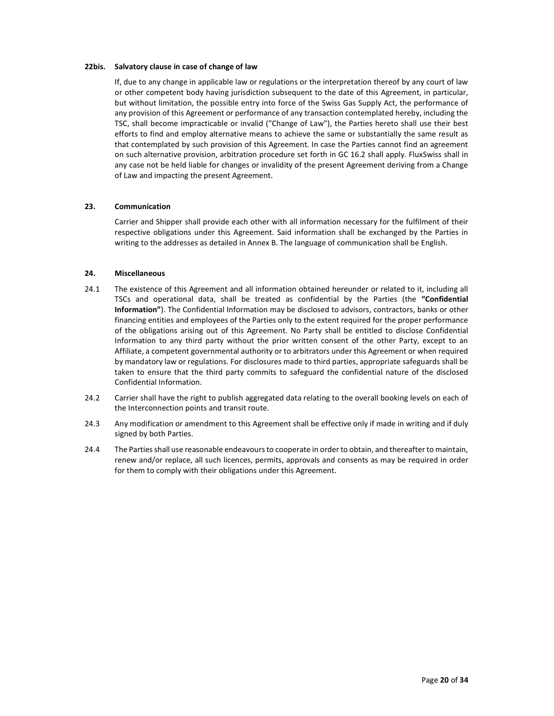#### 22bis. Salvatory clause in case of change of law

If, due to any change in applicable law or regulations or the interpretation thereof by any court of law or other competent body having jurisdiction subsequent to the date of this Agreement, in particular, but without limitation, the possible entry into force of the Swiss Gas Supply Act, the performance of any provision of this Agreement or performance of any transaction contemplated hereby, including the TSC, shall become impracticable or invalid ("Change of Law"), the Parties hereto shall use their best efforts to find and employ alternative means to achieve the same or substantially the same result as that contemplated by such provision of this Agreement. In case the Parties cannot find an agreement on such alternative provision, arbitration procedure set forth in GC 16.2 shall apply. FluxSwiss shall in any case not be held liable for changes or invalidity of the present Agreement deriving from a Change of Law and impacting the present Agreement.

#### 23. Communication

Carrier and Shipper shall provide each other with all information necessary for the fulfilment of their respective obligations under this Agreement. Said information shall be exchanged by the Parties in writing to the addresses as detailed in Annex B. The language of communication shall be English.

## 24. Miscellaneous

- 24.1 The existence of this Agreement and all information obtained hereunder or related to it, including all TSCs and operational data, shall be treated as confidential by the Parties (the "Confidential Information"). The Confidential Information may be disclosed to advisors, contractors, banks or other financing entities and employees of the Parties only to the extent required for the proper performance of the obligations arising out of this Agreement. No Party shall be entitled to disclose Confidential Information to any third party without the prior written consent of the other Party, except to an Affiliate, a competent governmental authority or to arbitrators under this Agreement or when required by mandatory law or regulations. For disclosures made to third parties, appropriate safeguards shall be taken to ensure that the third party commits to safeguard the confidential nature of the disclosed Confidential Information.
- 24.2 Carrier shall have the right to publish aggregated data relating to the overall booking levels on each of the Interconnection points and transit route.
- 24.3 Any modification or amendment to this Agreement shall be effective only if made in writing and if duly signed by both Parties.
- 24.4 The Parties shall use reasonable endeavours to cooperate in order to obtain, and thereafter to maintain, renew and/or replace, all such licences, permits, approvals and consents as may be required in order for them to comply with their obligations under this Agreement.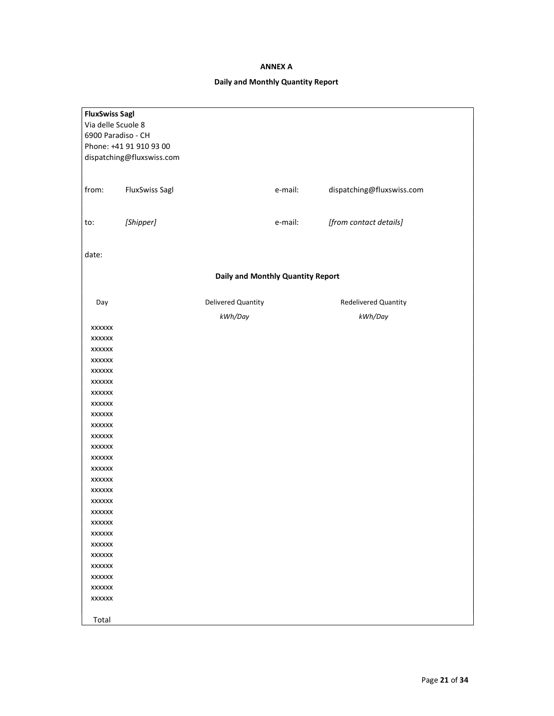## ANNEX A

## Daily and Monthly Quantity Report

| <b>FluxSwiss Sagl</b> |                           |                                   |         |                           |
|-----------------------|---------------------------|-----------------------------------|---------|---------------------------|
| Via delle Scuole 8    |                           |                                   |         |                           |
| 6900 Paradiso - CH    |                           |                                   |         |                           |
|                       | Phone: +41 91 910 93 00   |                                   |         |                           |
|                       | dispatching@fluxswiss.com |                                   |         |                           |
|                       |                           |                                   |         |                           |
|                       |                           |                                   |         |                           |
| from:                 | <b>FluxSwiss Sagl</b>     |                                   | e-mail: | dispatching@fluxswiss.com |
|                       |                           |                                   |         |                           |
|                       |                           |                                   |         |                           |
| to:                   | [Shipper]                 |                                   | e-mail: | [from contact details]    |
|                       |                           |                                   |         |                           |
|                       |                           |                                   |         |                           |
| date:                 |                           |                                   |         |                           |
|                       |                           |                                   |         |                           |
|                       |                           | Daily and Monthly Quantity Report |         |                           |
|                       |                           |                                   |         |                           |
| Day                   |                           | Delivered Quantity                |         | Redelivered Quantity      |
|                       |                           | kWh/Day                           |         | kWh/Day                   |
| <b>XXXXXX</b>         |                           |                                   |         |                           |
| XXXXXX                |                           |                                   |         |                           |
| XXXXXX                |                           |                                   |         |                           |
| XXXXXX                |                           |                                   |         |                           |
| XXXXXX                |                           |                                   |         |                           |
| XXXXXX                |                           |                                   |         |                           |
| XXXXXX                |                           |                                   |         |                           |
| XXXXXX                |                           |                                   |         |                           |
| XXXXXX                |                           |                                   |         |                           |
| XXXXXX                |                           |                                   |         |                           |
| XXXXXX                |                           |                                   |         |                           |
| <b>XXXXXX</b>         |                           |                                   |         |                           |
| XXXXXX                |                           |                                   |         |                           |
| XXXXXX                |                           |                                   |         |                           |
| XXXXXX                |                           |                                   |         |                           |
| <b>XXXXXX</b>         |                           |                                   |         |                           |
| <b>XXXXXX</b>         |                           |                                   |         |                           |
| <b>XXXXXX</b>         |                           |                                   |         |                           |
| <b>XXXXXX</b>         |                           |                                   |         |                           |
| <b>XXXXXX</b>         |                           |                                   |         |                           |
| <b>XXXXXX</b>         |                           |                                   |         |                           |
| <b>XXXXXX</b>         |                           |                                   |         |                           |
| <b>XXXXXX</b>         |                           |                                   |         |                           |
| <b>XXXXXX</b>         |                           |                                   |         |                           |
| <b>XXXXXX</b>         |                           |                                   |         |                           |
| <b>XXXXXX</b>         |                           |                                   |         |                           |
|                       |                           |                                   |         |                           |
| Total                 |                           |                                   |         |                           |
|                       |                           |                                   |         |                           |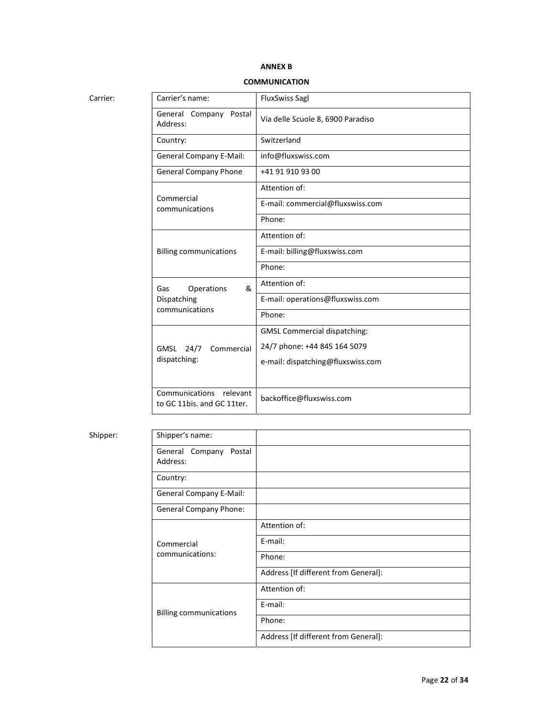## ANNEX B

## **COMMUNICATION**

| arr |  |
|-----|--|
|     |  |

| Carrier: | Carrier's name:                                       | <b>FluxSwiss Sagl</b>               |
|----------|-------------------------------------------------------|-------------------------------------|
|          | General Company Postal<br>Address:                    | Via delle Scuole 8, 6900 Paradiso   |
|          | Country:                                              | Switzerland                         |
|          | <b>General Company E-Mail:</b>                        | info@fluxswiss.com                  |
|          | <b>General Company Phone</b>                          | +41 91 910 93 00                    |
|          |                                                       | Attention of:                       |
|          | Commercial<br>communications                          | E-mail: commercial@fluxswiss.com    |
|          |                                                       | Phone:                              |
|          |                                                       | Attention of:                       |
|          | <b>Billing communications</b>                         | E-mail: billing@fluxswiss.com       |
|          |                                                       | Phone:                              |
|          | &<br>Operations<br>Gas                                | Attention of:                       |
|          | Dispatching                                           | E-mail: operations@fluxswiss.com    |
|          | communications                                        | Phone:                              |
|          |                                                       | <b>GMSL Commercial dispatching:</b> |
|          | GMSL<br>24/7<br>Commercial<br>dispatching:            | 24/7 phone: +44 845 164 5079        |
|          |                                                       | e-mail: dispatching@fluxswiss.com   |
|          |                                                       |                                     |
|          | Communications relevant<br>to GC 11bis. and GC 11ter. | backoffice@fluxswiss.com            |

## Shipper:

| Shipper: | Shipper's name:                       |                                      |
|----------|---------------------------------------|--------------------------------------|
|          | General Company<br>Postal<br>Address: |                                      |
|          | Country:                              |                                      |
|          | <b>General Company E-Mail:</b>        |                                      |
|          | <b>General Company Phone:</b>         |                                      |
|          |                                       | Attention of:                        |
|          | Commercial<br>communications:         | E-mail:                              |
|          |                                       | Phone:                               |
|          |                                       | Address [If different from General]: |
|          | <b>Billing communications</b>         | Attention of:                        |
|          |                                       | E-mail:                              |
|          |                                       | Phone:                               |
|          |                                       | Address [If different from General]: |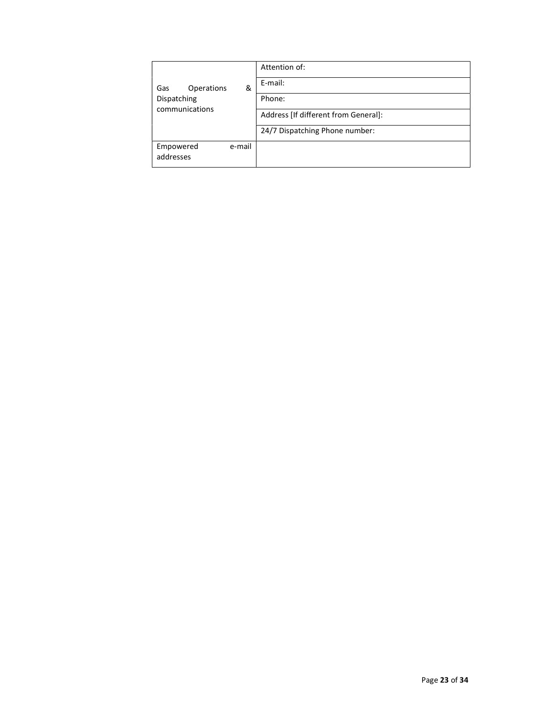|                                  |  | Attention of:                        |
|----------------------------------|--|--------------------------------------|
| Operations<br>&<br>Gas           |  | E-mail:                              |
| Dispatching                      |  | Phone:                               |
| communications                   |  | Address [If different from General]: |
|                                  |  | 24/7 Dispatching Phone number:       |
| e-mail<br>Empowered<br>addresses |  |                                      |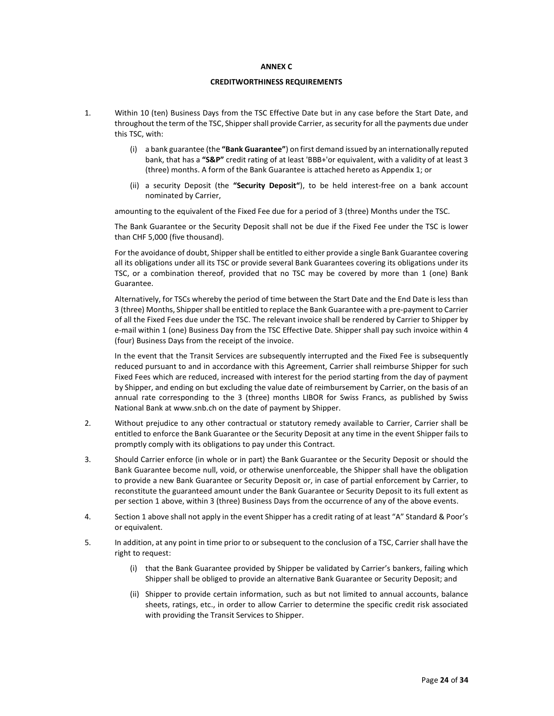#### ANNEX C

#### CREDITWORTHINESS REQUIREMENTS

- 1. Within 10 (ten) Business Days from the TSC Effective Date but in any case before the Start Date, and throughout the term of the TSC, Shipper shall provide Carrier, as security for all the payments due under this TSC, with:
	- (i) a bank guarantee (the "Bank Guarantee") on first demand issued by an internationally reputed bank, that has a "S&P" credit rating of at least 'BBB+'or equivalent, with a validity of at least 3 (three) months. A form of the Bank Guarantee is attached hereto as Appendix 1; or
	- (ii) a security Deposit (the "Security Deposit"), to be held interest-free on a bank account nominated by Carrier,

amounting to the equivalent of the Fixed Fee due for a period of 3 (three) Months under the TSC.

The Bank Guarantee or the Security Deposit shall not be due if the Fixed Fee under the TSC is lower than CHF 5,000 (five thousand).

For the avoidance of doubt, Shipper shall be entitled to either provide a single Bank Guarantee covering all its obligations under all its TSC or provide several Bank Guarantees covering its obligations under its TSC, or a combination thereof, provided that no TSC may be covered by more than 1 (one) Bank Guarantee.

 Alternatively, for TSCs whereby the period of time between the Start Date and the End Date is less than 3 (three) Months, Shipper shall be entitled to replace the Bank Guarantee with a pre-payment to Carrier of all the Fixed Fees due under the TSC. The relevant invoice shall be rendered by Carrier to Shipper by e-mail within 1 (one) Business Day from the TSC Effective Date. Shipper shall pay such invoice within 4 (four) Business Days from the receipt of the invoice.

In the event that the Transit Services are subsequently interrupted and the Fixed Fee is subsequently reduced pursuant to and in accordance with this Agreement, Carrier shall reimburse Shipper for such Fixed Fees which are reduced, increased with interest for the period starting from the day of payment by Shipper, and ending on but excluding the value date of reimbursement by Carrier, on the basis of an annual rate corresponding to the 3 (three) months LIBOR for Swiss Francs, as published by Swiss National Bank at www.snb.ch on the date of payment by Shipper.

- 2. Without prejudice to any other contractual or statutory remedy available to Carrier, Carrier shall be entitled to enforce the Bank Guarantee or the Security Deposit at any time in the event Shipper fails to promptly comply with its obligations to pay under this Contract.
- 3. Should Carrier enforce (in whole or in part) the Bank Guarantee or the Security Deposit or should the Bank Guarantee become null, void, or otherwise unenforceable, the Shipper shall have the obligation to provide a new Bank Guarantee or Security Deposit or, in case of partial enforcement by Carrier, to reconstitute the guaranteed amount under the Bank Guarantee or Security Deposit to its full extent as per section 1 above, within 3 (three) Business Days from the occurrence of any of the above events.
- 4. Section 1 above shall not apply in the event Shipper has a credit rating of at least "A" Standard & Poor's or equivalent.
- 5. In addition, at any point in time prior to or subsequent to the conclusion of a TSC, Carrier shall have the right to request:
	- (i) that the Bank Guarantee provided by Shipper be validated by Carrier's bankers, failing which Shipper shall be obliged to provide an alternative Bank Guarantee or Security Deposit; and
	- (ii) Shipper to provide certain information, such as but not limited to annual accounts, balance sheets, ratings, etc., in order to allow Carrier to determine the specific credit risk associated with providing the Transit Services to Shipper.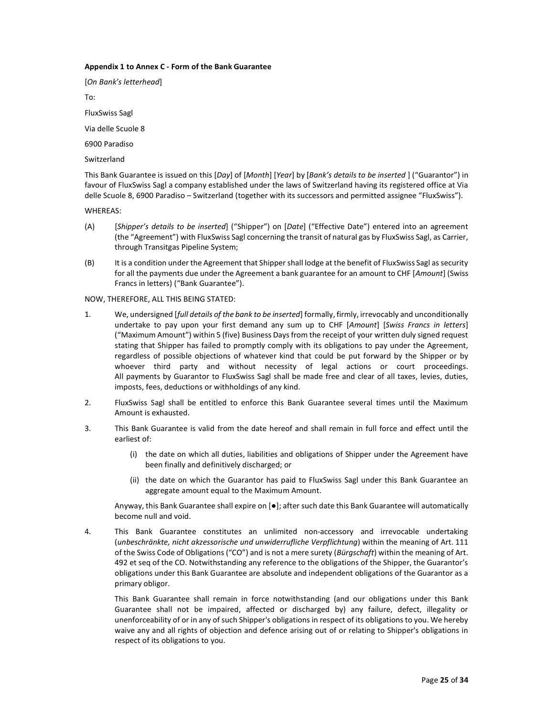#### Appendix 1 to Annex C - Form of the Bank Guarantee

[On Bank's letterhead] To: FluxSwiss Sagl Via delle Scuole 8 6900 Paradiso

Switzerland

This Bank Guarantee is issued on this [Day] of [Month] [Year] by [Bank's details to be inserted ] ("Guarantor") in favour of FluxSwiss Sagl a company established under the laws of Switzerland having its registered office at Via delle Scuole 8, 6900 Paradiso – Switzerland (together with its successors and permitted assignee "FluxSwiss").

WHEREAS:

- (A) [Shipper's details to be inserted] ("Shipper") on [Date] ("Effective Date") entered into an agreement (the "Agreement") with FluxSwiss Sagl concerning the transit of natural gas by FluxSwiss Sagl, as Carrier, through Transitgas Pipeline System;
- (B) It is a condition under the Agreement that Shipper shall lodge at the benefit of FluxSwiss Sagl as security for all the payments due under the Agreement a bank guarantee for an amount to CHF [Amount] (Swiss Francs in letters) ("Bank Guarantee").

NOW, THEREFORE, ALL THIS BEING STATED:

- 1. We, undersigned [full details of the bank to be inserted] formally, firmly, irrevocably and unconditionally undertake to pay upon your first demand any sum up to CHF [Amount] [Swiss Francs in letters] ("Maximum Amount") within 5 (five) Business Days from the receipt of your written duly signed request stating that Shipper has failed to promptly comply with its obligations to pay under the Agreement, regardless of possible objections of whatever kind that could be put forward by the Shipper or by whoever third party and without necessity of legal actions or court proceedings. All payments by Guarantor to FluxSwiss Sagl shall be made free and clear of all taxes, levies, duties, imposts, fees, deductions or withholdings of any kind.
- 2. FluxSwiss Sagl shall be entitled to enforce this Bank Guarantee several times until the Maximum Amount is exhausted.
- 3. This Bank Guarantee is valid from the date hereof and shall remain in full force and effect until the earliest of:
	- (i) the date on which all duties, liabilities and obligations of Shipper under the Agreement have been finally and definitively discharged; or
	- (ii) the date on which the Guarantor has paid to FluxSwiss Sagl under this Bank Guarantee an aggregate amount equal to the Maximum Amount.

Anyway, this Bank Guarantee shall expire on [●]; after such date this Bank Guarantee will automatically become null and void.

4. This Bank Guarantee constitutes an unlimited non-accessory and irrevocable undertaking (unbeschränkte, nicht akzessorische und unwiderrufliche Verpflichtung) within the meaning of Art. 111 of the Swiss Code of Obligations ("CO") and is not a mere surety (Bürgschaft) within the meaning of Art. 492 et seq of the CO. Notwithstanding any reference to the obligations of the Shipper, the Guarantor's obligations under this Bank Guarantee are absolute and independent obligations of the Guarantor as a primary obligor.

This Bank Guarantee shall remain in force notwithstanding (and our obligations under this Bank Guarantee shall not be impaired, affected or discharged by) any failure, defect, illegality or unenforceability of or in any of such Shipper's obligations in respect of its obligations to you. We hereby waive any and all rights of objection and defence arising out of or relating to Shipper's obligations in respect of its obligations to you.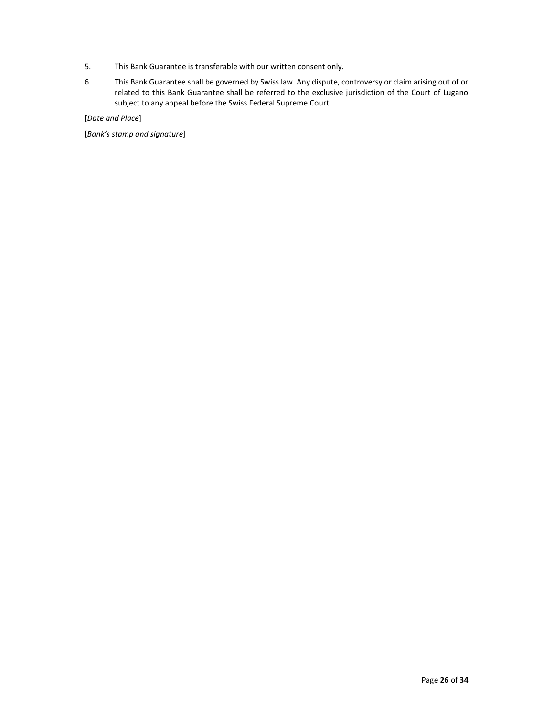- 5. This Bank Guarantee is transferable with our written consent only.
- 6. This Bank Guarantee shall be governed by Swiss law. Any dispute, controversy or claim arising out of or related to this Bank Guarantee shall be referred to the exclusive jurisdiction of the Court of Lugano subject to any appeal before the Swiss Federal Supreme Court.

[Date and Place]

[Bank's stamp and signature]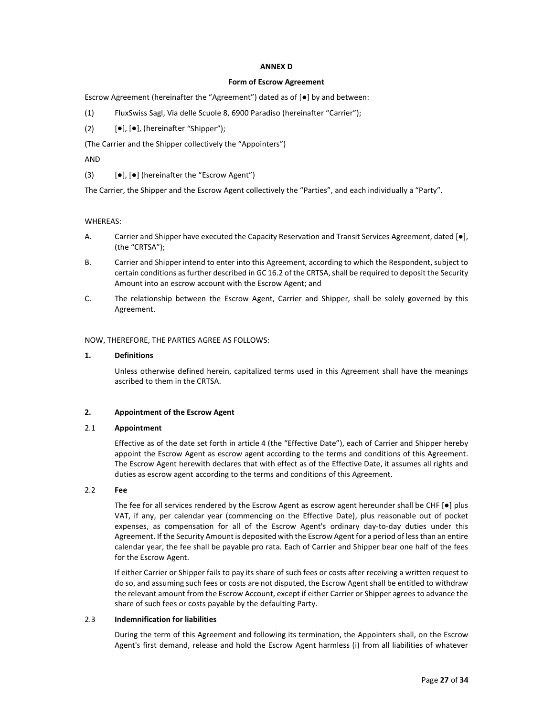#### ANNEX D

#### Form of Escrow Agreement

Escrow Agreement (hereinafter the "Agreement") dated as of [●] by and between:

- (1) FluxSwiss Sagl, Via delle Scuole 8, 6900 Paradiso (hereinafter "Carrier");
- (2)  $[\bullet]$ ,  $[\bullet]$ , (hereinafter "Shipper");

(The Carrier and the Shipper collectively the "Appointers")

AND

(3)  $[\bullet]$ ,  $[\bullet]$  (hereinafter the "Escrow Agent")

The Carrier, the Shipper and the Escrow Agent collectively the "Parties", and each individually a "Party".

#### WHEREAS:

- A. Carrier and Shipper have executed the Capacity Reservation and Transit Services Agreement, dated [●], (the "CRTSA");
- B. Carrier and Shipper intend to enter into this Agreement, according to which the Respondent, subject to certain conditions as further described in GC 16.2 of the CRTSA, shall be required to deposit the Security Amount into an escrow account with the Escrow Agent; and
- C. The relationship between the Escrow Agent, Carrier and Shipper, shall be solely governed by this Agreement.

#### NOW, THEREFORE, THE PARTIES AGREE AS FOLLOWS:

#### 1. Definitions

Unless otherwise defined herein, capitalized terms used in this Agreement shall have the meanings ascribed to them in the CRTSA.

#### 2. Appointment of the Escrow Agent

## 2.1 Appointment

Effective as of the date set forth in article 4 (the "Effective Date"), each of Carrier and Shipper hereby appoint the Escrow Agent as escrow agent according to the terms and conditions of this Agreement. The Escrow Agent herewith declares that with effect as of the Effective Date, it assumes all rights and duties as escrow agent according to the terms and conditions of this Agreement.

## 2.2 Fee

The fee for all services rendered by the Escrow Agent as escrow agent hereunder shall be CHF [ $\bullet$ ] plus VAT, if any, per calendar year (commencing on the Effective Date), plus reasonable out of pocket expenses, as compensation for all of the Escrow Agent's ordinary day-to-day duties under this Agreement. If the Security Amount is deposited with the Escrow Agent for a period of less than an entire calendar year, the fee shall be payable pro rata. Each of Carrier and Shipper bear one half of the fees for the Escrow Agent.

If either Carrier or Shipper fails to pay its share of such fees or costs after receiving a written request to do so, and assuming such fees or costs are not disputed, the Escrow Agent shall be entitled to withdraw the relevant amount from the Escrow Account, except if either Carrier or Shipper agrees to advance the share of such fees or costs payable by the defaulting Party.

#### 2.3 Indemnification for liabilities

During the term of this Agreement and following its termination, the Appointers shall, on the Escrow Agent's first demand, release and hold the Escrow Agent harmless (i) from all liabilities of whatever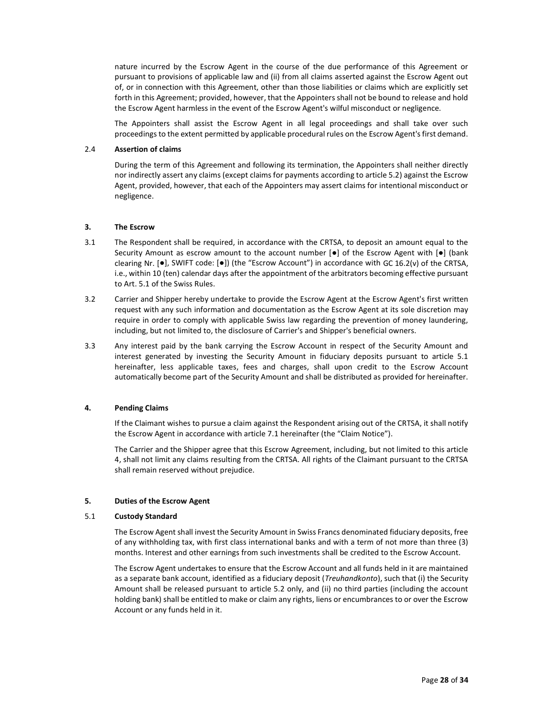nature incurred by the Escrow Agent in the course of the due performance of this Agreement or pursuant to provisions of applicable law and (ii) from all claims asserted against the Escrow Agent out of, or in connection with this Agreement, other than those liabilities or claims which are explicitly set forth in this Agreement; provided, however, that the Appointers shall not be bound to release and hold the Escrow Agent harmless in the event of the Escrow Agent's wilful misconduct or negligence.

The Appointers shall assist the Escrow Agent in all legal proceedings and shall take over such proceedings to the extent permitted by applicable procedural rules on the Escrow Agent's first demand.

#### 2.4 Assertion of claims

During the term of this Agreement and following its termination, the Appointers shall neither directly nor indirectly assert any claims (except claims for payments according to article 5.2) against the Escrow Agent, provided, however, that each of the Appointers may assert claims for intentional misconduct or negligence.

## 3. The Escrow

- 3.1 The Respondent shall be required, in accordance with the CRTSA, to deposit an amount equal to the Security Amount as escrow amount to the account number  $[•]$  of the Escrow Agent with  $[•]$  (bank clearing Nr. [●], SWIFT code: [●]) (the "Escrow Account") in accordance with GC 16.2(v) of the CRTSA, i.e., within 10 (ten) calendar days after the appointment of the arbitrators becoming effective pursuant to Art. 5.1 of the Swiss Rules.
- 3.2 Carrier and Shipper hereby undertake to provide the Escrow Agent at the Escrow Agent's first written request with any such information and documentation as the Escrow Agent at its sole discretion may require in order to comply with applicable Swiss law regarding the prevention of money laundering, including, but not limited to, the disclosure of Carrier's and Shipper's beneficial owners.
- 3.3 Any interest paid by the bank carrying the Escrow Account in respect of the Security Amount and interest generated by investing the Security Amount in fiduciary deposits pursuant to article 5.1 hereinafter, less applicable taxes, fees and charges, shall upon credit to the Escrow Account automatically become part of the Security Amount and shall be distributed as provided for hereinafter.

## 4. Pending Claims

If the Claimant wishes to pursue a claim against the Respondent arising out of the CRTSA, it shall notify the Escrow Agent in accordance with article 7.1 hereinafter (the "Claim Notice").

The Carrier and the Shipper agree that this Escrow Agreement, including, but not limited to this article 4, shall not limit any claims resulting from the CRTSA. All rights of the Claimant pursuant to the CRTSA shall remain reserved without prejudice.

## 5. Duties of the Escrow Agent

#### 5.1 Custody Standard

The Escrow Agent shall invest the Security Amount in Swiss Francs denominated fiduciary deposits, free of any withholding tax, with first class international banks and with a term of not more than three (3) months. Interest and other earnings from such investments shall be credited to the Escrow Account.

The Escrow Agent undertakes to ensure that the Escrow Account and all funds held in it are maintained as a separate bank account, identified as a fiduciary deposit (Treuhandkonto), such that (i) the Security Amount shall be released pursuant to article 5.2 only, and (ii) no third parties (including the account holding bank) shall be entitled to make or claim any rights, liens or encumbrances to or over the Escrow Account or any funds held in it.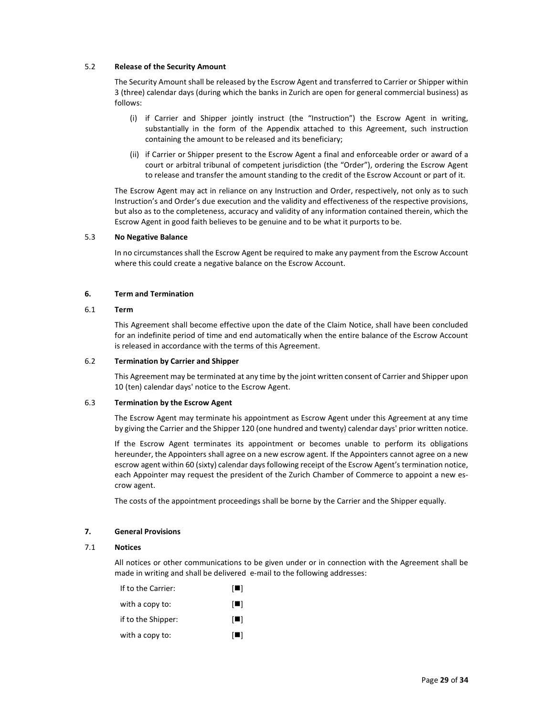## 5.2 Release of the Security Amount

The Security Amount shall be released by the Escrow Agent and transferred to Carrier or Shipper within 3 (three) calendar days (during which the banks in Zurich are open for general commercial business) as follows:

- (i) if Carrier and Shipper jointly instruct (the "Instruction") the Escrow Agent in writing, substantially in the form of the Appendix attached to this Agreement, such instruction containing the amount to be released and its beneficiary;
- (ii) if Carrier or Shipper present to the Escrow Agent a final and enforceable order or award of a court or arbitral tribunal of competent jurisdiction (the "Order"), ordering the Escrow Agent to release and transfer the amount standing to the credit of the Escrow Account or part of it.

The Escrow Agent may act in reliance on any Instruction and Order, respectively, not only as to such Instruction's and Order's due execution and the validity and effectiveness of the respective provisions, but also as to the completeness, accuracy and validity of any information contained therein, which the Escrow Agent in good faith believes to be genuine and to be what it purports to be.

#### 5.3 No Negative Balance

In no circumstances shall the Escrow Agent be required to make any payment from the Escrow Account where this could create a negative balance on the Escrow Account.

#### 6. Term and Termination

#### 6.1 Term

This Agreement shall become effective upon the date of the Claim Notice, shall have been concluded for an indefinite period of time and end automatically when the entire balance of the Escrow Account is released in accordance with the terms of this Agreement.

#### 6.2 Termination by Carrier and Shipper

This Agreement may be terminated at any time by the joint written consent of Carrier and Shipper upon 10 (ten) calendar days' notice to the Escrow Agent.

## 6.3 Termination by the Escrow Agent

The Escrow Agent may terminate his appointment as Escrow Agent under this Agreement at any time by giving the Carrier and the Shipper 120 (one hundred and twenty) calendar days' prior written notice.

If the Escrow Agent terminates its appointment or becomes unable to perform its obligations hereunder, the Appointers shall agree on a new escrow agent. If the Appointers cannot agree on a new escrow agent within 60 (sixty) calendar days following receipt of the Escrow Agent's termination notice, each Appointer may request the president of the Zurich Chamber of Commerce to appoint a new escrow agent.

The costs of the appointment proceedings shall be borne by the Carrier and the Shipper equally.

## 7. General Provisions

## 7.1 Notices

All notices or other communications to be given under or in connection with the Agreement shall be made in writing and shall be delivered e-mail to the following addresses:

| IЦ             |
|----------------|
| $\blacksquare$ |
| $\blacksquare$ |
| IЦ             |
|                |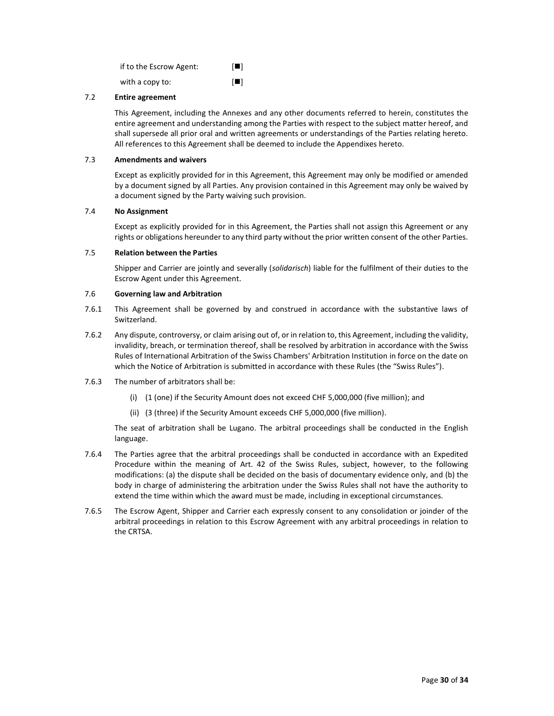| if to the Escrow Agent: | $\Box$         |
|-------------------------|----------------|
| with a copy to:         | $\blacksquare$ |

## 7.2 Entire agreement

This Agreement, including the Annexes and any other documents referred to herein, constitutes the entire agreement and understanding among the Parties with respect to the subject matter hereof, and shall supersede all prior oral and written agreements or understandings of the Parties relating hereto. All references to this Agreement shall be deemed to include the Appendixes hereto.

#### 7.3 Amendments and waivers

Except as explicitly provided for in this Agreement, this Agreement may only be modified or amended by a document signed by all Parties. Any provision contained in this Agreement may only be waived by a document signed by the Party waiving such provision.

## 7.4 No Assignment

Except as explicitly provided for in this Agreement, the Parties shall not assign this Agreement or any rights or obligations hereunder to any third party without the prior written consent of the other Parties.

#### 7.5 Relation between the Parties

Shipper and Carrier are jointly and severally (solidarisch) liable for the fulfilment of their duties to the Escrow Agent under this Agreement.

## 7.6 Governing law and Arbitration

- 7.6.1 This Agreement shall be governed by and construed in accordance with the substantive laws of Switzerland.
- 7.6.2 Any dispute, controversy, or claim arising out of, or in relation to, this Agreement, including the validity, invalidity, breach, or termination thereof, shall be resolved by arbitration in accordance with the Swiss Rules of International Arbitration of the Swiss Chambers' Arbitration Institution in force on the date on which the Notice of Arbitration is submitted in accordance with these Rules (the "Swiss Rules").
- 7.6.3 The number of arbitrators shall be:
	- (i) (1 (one) if the Security Amount does not exceed CHF 5,000,000 (five million); and
	- (ii) (3 (three) if the Security Amount exceeds CHF 5,000,000 (five million).

The seat of arbitration shall be Lugano. The arbitral proceedings shall be conducted in the English language.

- 7.6.4 The Parties agree that the arbitral proceedings shall be conducted in accordance with an Expedited Procedure within the meaning of Art. 42 of the Swiss Rules, subject, however, to the following modifications: (a) the dispute shall be decided on the basis of documentary evidence only, and (b) the body in charge of administering the arbitration under the Swiss Rules shall not have the authority to extend the time within which the award must be made, including in exceptional circumstances.
- 7.6.5 The Escrow Agent, Shipper and Carrier each expressly consent to any consolidation or joinder of the arbitral proceedings in relation to this Escrow Agreement with any arbitral proceedings in relation to the CRTSA.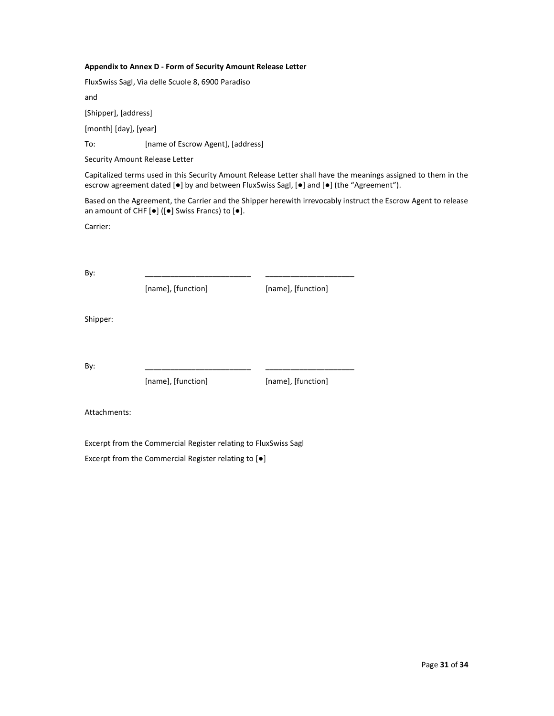#### Appendix to Annex D - Form of Security Amount Release Letter

FluxSwiss Sagl, Via delle Scuole 8, 6900 Paradiso

and

[Shipper], [address]

[month] [day], [year]

To: [name of Escrow Agent], [address]

Security Amount Release Letter

Capitalized terms used in this Security Amount Release Letter shall have the meanings assigned to them in the escrow agreement dated [●] by and between FluxSwiss Sagl, [●] and [●] (the "Agreement").

Based on the Agreement, the Carrier and the Shipper herewith irrevocably instruct the Escrow Agent to release an amount of CHF [●] ([●] Swiss Francs) to [●].

Carrier:

By: \_\_\_\_\_\_\_\_\_\_\_\_\_\_\_\_\_\_\_\_\_\_\_\_\_ \_\_\_\_\_\_\_\_\_\_\_\_\_\_\_\_\_\_\_\_\_

[name], [function] [name], [function]

Shipper:

By: \_\_\_\_\_\_\_\_\_\_\_\_\_\_\_\_\_\_\_\_\_\_\_\_\_ \_\_\_\_\_\_\_\_\_\_\_\_\_\_\_\_\_\_\_\_\_

[name], [function] [name], [function]

Attachments:

Excerpt from the Commercial Register relating to FluxSwiss Sagl

Excerpt from the Commercial Register relating to [●]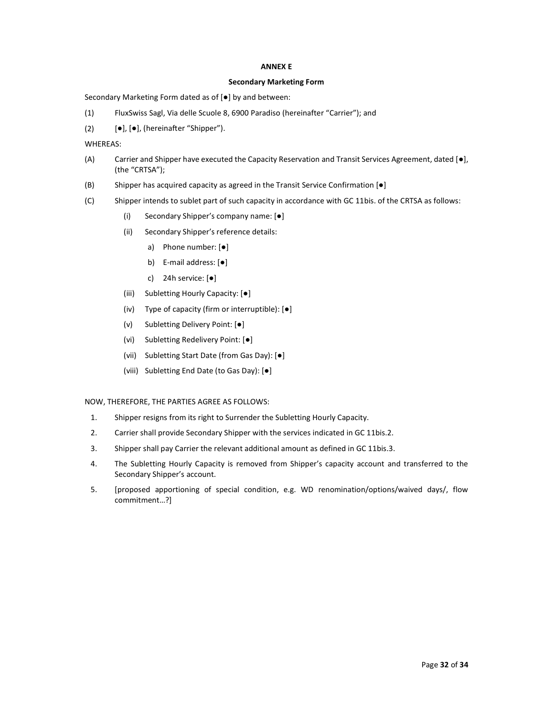#### ANNEX E

#### Secondary Marketing Form

Secondary Marketing Form dated as of [●] by and between:

- (1) FluxSwiss Sagl, Via delle Scuole 8, 6900 Paradiso (hereinafter "Carrier"); and
- (2)  $[\bullet]$ ,  $[\bullet]$ , (hereinafter "Shipper").

WHEREAS:

- (A) Carrier and Shipper have executed the Capacity Reservation and Transit Services Agreement, dated [●], (the "CRTSA");
- (B) Shipper has acquired capacity as agreed in the Transit Service Confirmation [●]
- (C) Shipper intends to sublet part of such capacity in accordance with GC 11bis. of the CRTSA as follows:
	- (i) Secondary Shipper's company name: [●]
	- (ii) Secondary Shipper's reference details:
		- a) Phone number: [●]
		- b) E-mail address: [●]
		- c) 24h service: [●]
	- (iii) Subletting Hourly Capacity: [●]
	- (iv) Type of capacity (firm or interruptible): [●]
	- (v) Subletting Delivery Point: [●]
	- (vi) Subletting Redelivery Point: [●]
	- (vii) Subletting Start Date (from Gas Day): [●]
	- (viii) Subletting End Date (to Gas Day): [●]

## NOW, THEREFORE, THE PARTIES AGREE AS FOLLOWS:

- 1. Shipper resigns from its right to Surrender the Subletting Hourly Capacity.
- 2. Carrier shall provide Secondary Shipper with the services indicated in GC 11bis.2.
- 3. Shipper shall pay Carrier the relevant additional amount as defined in GC 11bis.3.
- 4. The Subletting Hourly Capacity is removed from Shipper's capacity account and transferred to the Secondary Shipper's account.
- 5. [proposed apportioning of special condition, e.g. WD renomination/options/waived days/, flow commitment…?]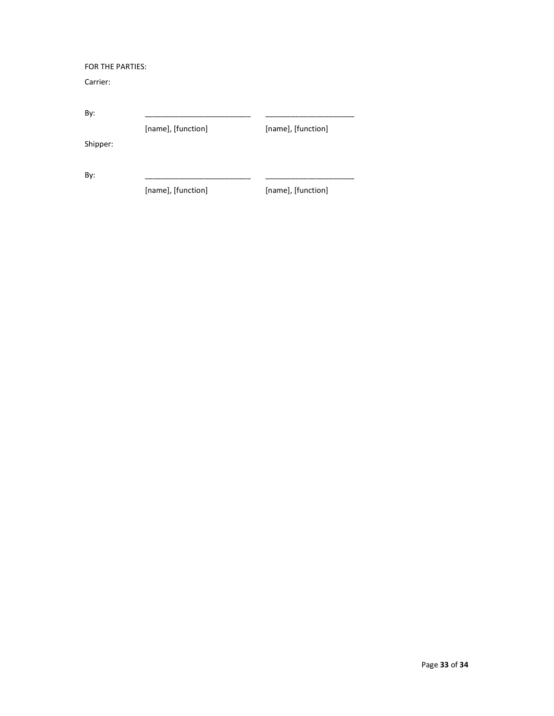## FOR THE PARTIES:

Carrier:

| By:      |                    |                    |
|----------|--------------------|--------------------|
|          | [name], [function] | [name], [function] |
| Shipper: |                    |                    |
| By:      |                    |                    |
|          | [name], [function] | [name], [function] |